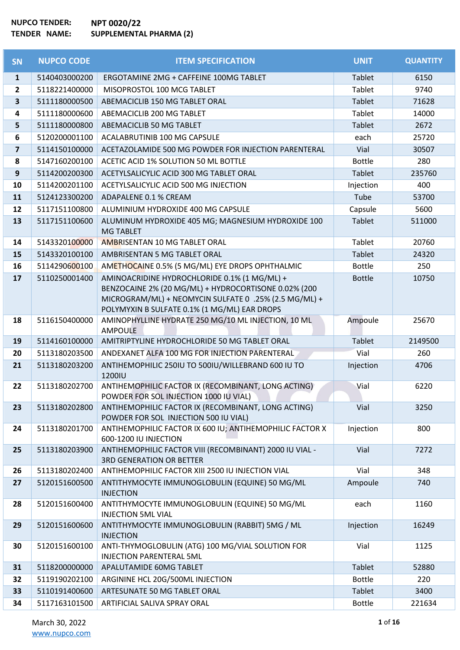| SN                      | <b>NUPCO CODE</b> | <b>ITEM SPECIFICATION</b>                                                                                                                                     | <b>UNIT</b>   | <b>QUANTITY</b> |
|-------------------------|-------------------|---------------------------------------------------------------------------------------------------------------------------------------------------------------|---------------|-----------------|
| $\mathbf{1}$            | 5140403000200     | ERGOTAMINE 2MG + CAFFEINE 100MG TABLET                                                                                                                        | Tablet        | 6150            |
| $\overline{2}$          | 5118221400000     | MISOPROSTOL 100 MCG TABLET                                                                                                                                    | Tablet        | 9740            |
| 3                       | 5111180000500     | ABEMACICLIB 150 MG TABLET ORAL                                                                                                                                | Tablet        | 71628           |
| 4                       | 5111180000600     | ABEMACICLIB 200 MG TABLET                                                                                                                                     | Tablet        | 14000           |
| 5                       | 5111180000800     | ABEMACICLIB 50 MG TABLET                                                                                                                                      | Tablet        | 2672            |
| 6                       | 5120200001100     | ACALABRUTINIB 100 MG CAPSULE                                                                                                                                  | each          | 25720           |
| $\overline{\mathbf{z}}$ | 5114150100000     | ACETAZOLAMIDE 500 MG POWDER FOR INJECTION PARENTERAL                                                                                                          | Vial          | 30507           |
| 8                       | 5147160200100     | ACETIC ACID 1% SOLUTION 50 ML BOTTLE                                                                                                                          | <b>Bottle</b> | 280             |
| $\mathbf{9}$            | 5114200200300     | ACETYLSALICYLIC ACID 300 MG TABLET ORAL                                                                                                                       | Tablet        | 235760          |
| 10                      | 5114200201100     | ACETYLSALICYLIC ACID 500 MG INJECTION                                                                                                                         | Injection     | 400             |
| 11                      | 5124123300200     | ADAPALENE 0.1 % CREAM                                                                                                                                         | Tube          | 53700           |
| 12                      | 5117151100800     | ALUMINIUM HYDROXIDE 400 MG CAPSULE                                                                                                                            | Capsule       | 5600            |
| 13                      | 5117151100600     | ALUMINUM HYDROXIDE 405 MG; MAGNESIUM HYDROXIDE 100<br><b>MG TABLET</b>                                                                                        | <b>Tablet</b> | 511000          |
| 14                      | 5143320100000     | AMBRISENTAN 10 MG TABLET ORAL                                                                                                                                 | Tablet        | 20760           |
| 15                      | 5143320100100     | AMBRISENTAN 5 MG TABLET ORAL                                                                                                                                  | Tablet        | 24320           |
| 16                      | 5114290600100     | AMETHOCAINE 0.5% (5 MG/ML) EYE DROPS OPHTHALMIC                                                                                                               | <b>Bottle</b> | 250             |
| 17                      | 5110250001400     | AMINOACRIDINE HYDROCHLORIDE 0.1% (1 MG/ML) +                                                                                                                  | <b>Bottle</b> | 10750           |
|                         |                   | BENZOCAINE 2% (20 MG/ML) + HYDROCORTISONE 0.02% (200<br>MICROGRAM/ML) + NEOMYCIN SULFATE 0 .25% (2.5 MG/ML) +<br>POLYMYXIN B SULFATE 0.1% (1 MG/ML) EAR DROPS |               |                 |
| 18                      | 5116150400000     | AMINOPHYLLINE HYDRATE 250 MG/10 ML INJECTION, 10 ML<br><b>AMPOULE</b>                                                                                         | Ampoule       | 25670           |
| 19                      | 5114160100000     | AMITRIPTYLINE HYDROCHLORIDE 50 MG TABLET ORAL                                                                                                                 | Tablet        | 2149500         |
| 20                      | 5113180203500     | ANDEXANET ALFA 100 MG FOR INJECTION PARENTERAL                                                                                                                | Vial          | 260             |
| 21                      | 5113180203200     | ANTIHEMOPHILIC 250IU TO 500IU/WILLEBRAND 600 IU TO<br>1200IU                                                                                                  | Injection     | 4706            |
| 22                      | 5113180202700     | ANTIHEMOPHILIC FACTOR IX (RECOMBINANT, LONG ACTING)<br>POWDER FOR SOL INJECTION 1000 IU VIAL)                                                                 | Vial          | 6220            |
| 23                      | 5113180202800     | ANTIHEMOPHILIC FACTOR IX (RECOMBINANT, LONG ACTING)<br>POWDER FOR SOL INJECTION 500 IU VIAL)                                                                  | Vial          | 3250            |
| 24                      | 5113180201700     | ANTIHEMOPHILIC FACTOR IX 600 IU; ANTIHEMOPHILIC FACTOR X<br>600-1200 IU INJECTION                                                                             | Injection     | 800             |
| 25                      | 5113180203900     | ANTIHEMOPHILIC FACTOR VIII (RECOMBINANT) 2000 IU VIAL -<br><b>3RD GENERATION OR BETTER</b>                                                                    | Vial          | 7272            |
| 26                      | 5113180202400     | ANTIHEMOPHILIC FACTOR XIII 2500 IU INJECTION VIAL                                                                                                             | Vial          | 348             |
| 27                      | 5120151600500     | ANTITHYMOCYTE IMMUNOGLOBULIN (EQUINE) 50 MG/ML<br><b>INJECTION</b>                                                                                            | Ampoule       | 740             |
| 28                      | 5120151600400     | ANTITHYMOCYTE IMMUNOGLOBULIN (EQUINE) 50 MG/ML<br><b>INJECTION 5ML VIAL</b>                                                                                   | each          | 1160            |
| 29                      | 5120151600600     | ANTITHYMOCYTE IMMUNOGLOBULIN (RABBIT) 5MG / ML<br><b>INJECTION</b>                                                                                            | Injection     | 16249           |
| 30                      | 5120151600100     | ANTI-THYMOGLOBULIN (ATG) 100 MG/VIAL SOLUTION FOR<br><b>INJECTION PARENTERAL 5ML</b>                                                                          | Vial          | 1125            |
| 31                      | 5118200000000     | APALUTAMIDE 60MG TABLET                                                                                                                                       | Tablet        | 52880           |
| 32                      | 5119190202100     | ARGININE HCL 20G/500ML INJECTION                                                                                                                              | <b>Bottle</b> | 220             |
| 33                      | 5110191400600     | ARTESUNATE 50 MG TABLET ORAL                                                                                                                                  | Tablet        | 3400            |
| 34                      | 5117163101500     | ARTIFICIAL SALIVA SPRAY ORAL                                                                                                                                  | <b>Bottle</b> | 221634          |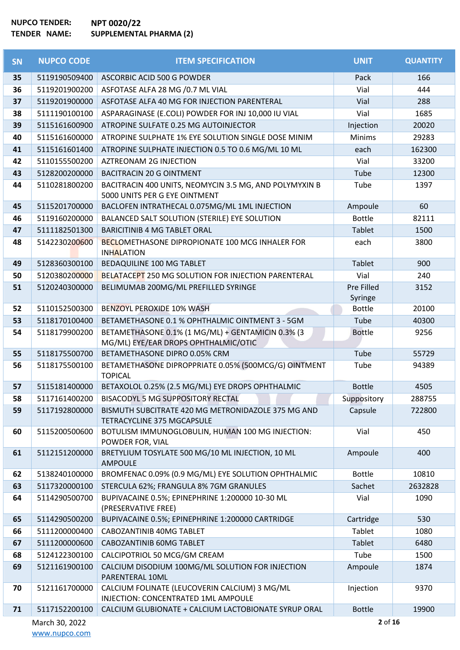| <b>SN</b> | <b>NUPCO CODE</b> | <b>ITEM SPECIFICATION</b>                                                                 | <b>UNIT</b>   | <b>QUANTITY</b> |
|-----------|-------------------|-------------------------------------------------------------------------------------------|---------------|-----------------|
| 35        | 5119190509400     | ASCORBIC ACID 500 G POWDER                                                                | Pack          | 166             |
| 36        | 5119201900200     | ASFOTASE ALFA 28 MG /0.7 ML VIAL                                                          | Vial          | 444             |
| 37        | 5119201900000     | ASFOTASE ALFA 40 MG FOR INJECTION PARENTERAL                                              | Vial          | 288             |
| 38        | 5111190100100     | ASPARAGINASE (E.COLI) POWDER FOR INJ 10,000 IU VIAL                                       | Vial          | 1685            |
| 39        | 5115161600900     | ATROPINE SULFATE 0.25 MG AUTOINJECTOR                                                     | Injection     | 20020           |
| 40        | 5115161600000     | ATROPINE SULPHATE 1% EYE SOLUTION SINGLE DOSE MINIM                                       | <b>Minims</b> | 29283           |
| 41        | 5115161601400     | ATROPINE SULPHATE INJECTION 0.5 TO 0.6 MG/ML 10 ML                                        | each          | 162300          |
| 42        | 5110155500200     | <b>AZTREONAM 2G INJECTION</b>                                                             | Vial          | 33200           |
| 43        | 5128200200000     | <b>BACITRACIN 20 G OINTMENT</b>                                                           | Tube          | 12300           |
| 44        | 5110281800200     | BACITRACIN 400 UNITS, NEOMYCIN 3.5 MG, AND POLYMYXIN B<br>5000 UNITS PER G EYE OINTMENT   | Tube          | 1397            |
| 45        | 5115201700000     | BACLOFEN INTRATHECAL 0.075MG/ML 1ML INJECTION                                             | Ampoule       | 60              |
| 46        | 5119160200000     | BALANCED SALT SOLUTION (STERILE) EYE SOLUTION                                             | <b>Bottle</b> | 82111           |
| 47        | 5111182501300     | <b>BARICITINIB 4 MG TABLET ORAL</b>                                                       | <b>Tablet</b> | 1500            |
| 48        | 5142230200600     | <b>BECLOMETHASONE DIPROPIONATE 100 MCG INHALER FOR</b><br><b>INHALATION</b>               | each          | 3800            |
| 49        | 5128360300100     | BEDAQUILINE 100 MG TABLET                                                                 | <b>Tablet</b> | 900             |
| 50        | 5120380200000     | <b>BELATACEPT 250 MG SOLUTION FOR INJECTION PARENTERAL</b>                                | Vial          | 240             |
| 51        | 5120240300000     | BELIMUMAB 200MG/ML PREFILLED SYRINGE                                                      | Pre Filled    | 3152            |
|           |                   |                                                                                           | Syringe       |                 |
| 52        | 5110152500300     | <b>BENZOYL PEROXIDE 10% WASH</b>                                                          | <b>Bottle</b> | 20100           |
| 53        | 5118170100400     | BETAMETHASONE 0.1 % OPHTHALMIC OINTMENT 3 - 5GM                                           | Tube          | 40300           |
| 54        | 5118179900200     | BETAMETHASONE 0.1% (1 MG/ML) + GENTAMICIN 0.3% (3<br>MG/ML) EYE/EAR DROPS OPHTHALMIC/OTIC | <b>Bottle</b> | 9256            |
| 55        | 5118175500700     | BETAMETHASONE DIPRO 0.05% CRM                                                             | Tube          | 55729           |
| 56        | 5118175500100     | BETAMETHASONE DIPROPPRIATE 0.05% (500MCG/G) OINTMENT<br><b>TOPICAL</b>                    | Tube          | 94389           |
| 57        | 5115181400000     | BETAXOLOL 0.25% (2.5 MG/ML) EYE DROPS OPHTHALMIC                                          | <b>Bottle</b> | 4505            |
| 58        | 5117161400200     | BISACODYL 5 MG SUPPOSITORY RECTAL                                                         | Suppository   | 288755          |
| 59        | 5117192800000     | BISMUTH SUBCITRATE 420 MG METRONIDAZOLE 375 MG AND<br>TETRACYCLINE 375 MGCAPSULE          | Capsule       | 722800          |
| 60        | 5115200500600     | BOTULISM IMMUNOGLOBULIN, HUMAN 100 MG INJECTION:<br>POWDER FOR, VIAL                      | Vial          | 450             |
| 61        | 5112151200000     | BRETYLIUM TOSYLATE 500 MG/10 ML INJECTION, 10 ML<br><b>AMPOULE</b>                        | Ampoule       | 400             |
| 62        | 5138240100000     | BROMFENAC 0.09% (0.9 MG/ML) EYE SOLUTION OPHTHALMIC                                       | <b>Bottle</b> | 10810           |
| 63        | 5117320000100     | STERCULA 62%; FRANGULA 8% 7GM GRANULES                                                    | Sachet        | 2632828         |
| 64        | 5114290500700     | BUPIVACAINE 0.5%; EPINEPHRINE 1:200000 10-30 ML<br>(PRESERVATIVE FREE)                    | Vial          | 1090            |
| 65        | 5114290500200     | BUPIVACAINE 0.5%; EPINEPHRINE 1:200000 CARTRIDGE                                          | Cartridge     | 530             |
| 66        | 5111200000400     | CABOZANTINIB 40MG TABLET                                                                  | Tablet        | 1080            |
| 67        | 5111200000600     | CABOZANTINIB 60MG TABLET                                                                  | <b>Tablet</b> | 6480            |
| 68        | 5124122300100     | CALCIPOTRIOL 50 MCG/GM CREAM                                                              | Tube          | 1500            |
| 69        | 5121161900100     | CALCIUM DISODIUM 100MG/ML SOLUTION FOR INJECTION<br>PARENTERAL 10ML                       | Ampoule       | 1874            |
| 70        | 5121161700000     | CALCIUM FOLINATE (LEUCOVERIN CALCIUM) 3 MG/ML<br>INJECTION: CONCENTRATED 1ML AMPOULE      | Injection     | 9370            |
| 71        | 5117152200100     | CALCIUM GLUBIONATE + CALCIUM LACTOBIONATE SYRUP ORAL                                      | <b>Bottle</b> | 19900           |
|           | March 30, 2022    |                                                                                           | 2 of 16       |                 |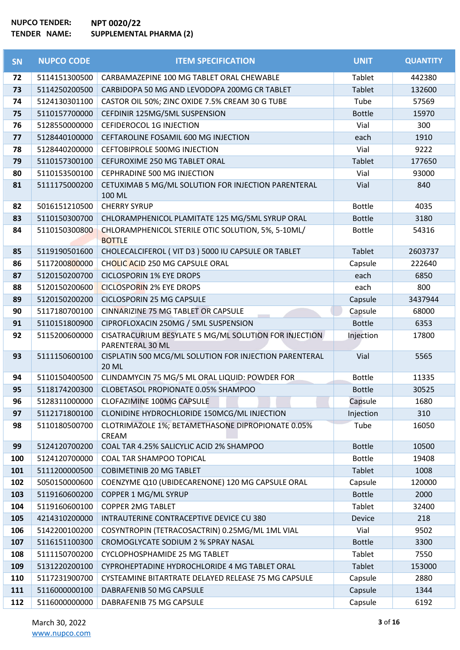| SN  | <b>NUPCO CODE</b> | <b>ITEM SPECIFICATION</b>                                                 | <b>UNIT</b>   | <b>QUANTITY</b> |
|-----|-------------------|---------------------------------------------------------------------------|---------------|-----------------|
| 72  | 5114151300500     | CARBAMAZEPINE 100 MG TABLET ORAL CHEWABLE                                 | Tablet        | 442380          |
| 73  | 5114250200500     | CARBIDOPA 50 MG AND LEVODOPA 200MG CR TABLET                              | Tablet        | 132600          |
| 74  | 5124130301100     | CASTOR OIL 50%; ZINC OXIDE 7.5% CREAM 30 G TUBE                           | Tube          | 57569           |
| 75  | 5110157700000     | CEFDINIR 125MG/5ML SUSPENSION                                             | <b>Bottle</b> | 15970           |
| 76  | 5128550000000     | <b>CEFIDEROCOL 1G INJECTION</b>                                           | Vial          | 300             |
| 77  | 5128440100000     | CEFTAROLINE FOSAMIL 600 MG INJECTION                                      | each          | 1910            |
| 78  | 5128440200000     | <b>CEFTOBIPROLE 500MG INJECTION</b>                                       | Vial          | 9222            |
| 79  | 5110157300100     | CEFUROXIME 250 MG TABLET ORAL                                             | Tablet        | 177650          |
| 80  | 5110153500100     | CEPHRADINE 500 MG INJECTION                                               | Vial          | 93000           |
| 81  | 5111175000200     | CETUXIMAB 5 MG/ML SOLUTION FOR INJECTION PARENTERAL                       | Vial          | 840             |
|     |                   | 100 ML                                                                    |               |                 |
| 82  | 5016151210500     | <b>CHERRY SYRUP</b>                                                       | <b>Bottle</b> | 4035            |
| 83  | 5110150300700     | CHLORAMPHENICOL PLAMITATE 125 MG/5ML SYRUP ORAL                           | <b>Bottle</b> | 3180            |
| 84  | 5110150300800     | CHLORAMPHENICOL STERILE OTIC SOLUTION, 5%, 5-10ML/<br><b>BOTTLE</b>       | <b>Bottle</b> | 54316           |
| 85  | 5119190501600     | CHOLECALCIFEROL (VIT D3) 5000 IU CAPSULE OR TABLET                        | Tablet        | 2603737         |
| 86  | 5117200800000     | CHOLIC ACID 250 MG CAPSULE ORAL                                           | Capsule       | 222640          |
| 87  | 5120150200700     | <b>CICLOSPORIN 1% EYE DROPS</b>                                           | each          | 6850            |
| 88  | 5120150200600     | <b>CICLOSPORIN 2% EYE DROPS</b>                                           | each          | 800             |
| 89  | 5120150200200     | <b>CICLOSPORIN 25 MG CAPSULE</b>                                          | Capsule       | 3437944         |
| 90  | 5117180700100     | CINNARIZINE 75 MG TABLET OR CAPSULE                                       | Capsule       | 68000           |
| 91  | 5110151800900     | CIPROFLOXACIN 250MG / 5ML SUSPENSION                                      | <b>Bottle</b> | 6353            |
| 92  | 5115200600000     | CISATRACURIUM BESYLATE 5 MG/ML SOLUTION FOR INJECTION<br>PARENTERAL 30 ML | Injection     | 17800           |
| 93  | 5111150600100     | CISPLATIN 500 MCG/ML SOLUTION FOR INJECTION PARENTERAL<br><b>20 ML</b>    | Vial          | 5565            |
| 94  | 5110150400500     | CLINDAMYCIN 75 MG/5 ML ORAL LIQUID: POWDER FOR                            | <b>Bottle</b> | 11335           |
| 95  | 5118174200300     | CLOBETASOL PROPIONATE 0.05% SHAMPOO                                       | <b>Bottle</b> | 30525           |
| 96  | 5128311000000     | <b>CLOFAZIMINE 100MG CAPSULE</b>                                          | Capsule       | 1680            |
| 97  | 5112171800100     | CLONIDINE HYDROCHLORIDE 150MCG/ML INJECTION                               | Injection     | 310             |
| 98  | 5110180500700     | CLOTRIMAZOLE 1%; BETAMETHASONE DIPROPIONATE 0.05%                         | Tube          | 16050           |
| 99  | 5124120700200     | CREAM<br>COAL TAR 4.25% SALICYLIC ACID 2% SHAMPOO                         | <b>Bottle</b> | 10500           |
| 100 | 5124120700000     | COAL TAR SHAMPOO TOPICAL                                                  | <b>Bottle</b> | 19408           |
| 101 | 5111200000500     | <b>COBIMETINIB 20 MG TABLET</b>                                           | Tablet        | 1008            |
| 102 | 5050150000600     | COENZYME Q10 (UBIDECARENONE) 120 MG CAPSULE ORAL                          | Capsule       | 120000          |
| 103 | 5119160600200     | COPPER 1 MG/ML SYRUP                                                      | <b>Bottle</b> | 2000            |
| 104 | 5119160600100     | <b>COPPER 2MG TABLET</b>                                                  | Tablet        | 32400           |
| 105 | 4214310200000     | INTRAUTERINE CONTRACEPTIVE DEVICE CU 380                                  | Device        | 218             |
| 106 | 5142200100200     | COSYNTROPIN (TETRACOSACTRIN) 0.25MG/ML 1ML VIAL                           | Vial          | 9502            |
| 107 | 5116151100300     | CROMOGLYCATE SODIUM 2 % SPRAY NASAL                                       | <b>Bottle</b> | 3300            |
| 108 | 5111150700200     | CYCLOPHOSPHAMIDE 25 MG TABLET                                             | Tablet        | 7550            |
| 109 | 5131220200100     | CYPROHEPTADINE HYDROCHLORIDE 4 MG TABLET ORAL                             | Tablet        | 153000          |
| 110 | 5117231900700     | CYSTEAMINE BITARTRATE DELAYED RELEASE 75 MG CAPSULE                       | Capsule       | 2880            |
| 111 | 5116000000100     | DABRAFENIB 50 MG CAPSULE                                                  | Capsule       | 1344            |
| 112 | 5116000000000     | DABRAFENIB 75 MG CAPSULE                                                  | Capsule       | 6192            |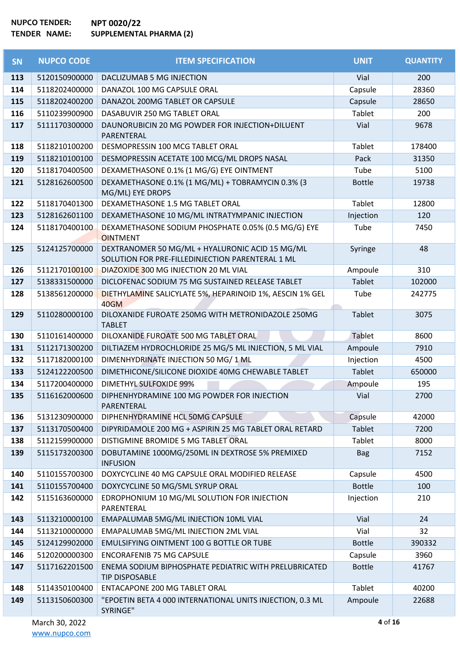| <b>SN</b> | <b>NUPCO CODE</b> | <b>ITEM SPECIFICATION</b>                                                                           | <b>UNIT</b>   | <b>QUANTITY</b> |
|-----------|-------------------|-----------------------------------------------------------------------------------------------------|---------------|-----------------|
| 113       | 5120150900000     | DACLIZUMAB 5 MG INJECTION                                                                           | Vial          | 200             |
| 114       | 5118202400000     | DANAZOL 100 MG CAPSULE ORAL                                                                         | Capsule       | 28360           |
| 115       | 5118202400200     | DANAZOL 200MG TABLET OR CAPSULE                                                                     | Capsule       | 28650           |
| 116       | 5110239900900     | DASABUVIR 250 MG TABLET ORAL                                                                        | Tablet        | 200             |
| 117       | 5111170300000     | DAUNORUBICIN 20 MG POWDER FOR INJECTION+DILUENT<br>PARENTERAL                                       | Vial          | 9678            |
| 118       | 5118210100200     | DESMOPRESSIN 100 MCG TABLET ORAL                                                                    | Tablet        | 178400          |
| 119       | 5118210100100     | DESMOPRESSIN ACETATE 100 MCG/ML DROPS NASAL                                                         | Pack          | 31350           |
| 120       | 5118170400500     | DEXAMETHASONE 0.1% (1 MG/G) EYE OINTMENT                                                            | Tube          | 5100            |
| 121       | 5128162600500     | DEXAMETHASONE 0.1% (1 MG/ML) + TOBRAMYCIN 0.3% (3<br>MG/ML) EYE DROPS                               | <b>Bottle</b> | 19738           |
| 122       | 5118170401300     | DEXAMETHASONE 1.5 MG TABLET ORAL                                                                    | Tablet        | 12800           |
| 123       | 5128162601100     | DEXAMETHASONE 10 MG/ML INTRATYMPANIC INJECTION                                                      | Injection     | 120             |
| 124       | 5118170400100     | DEXAMETHASONE SODIUM PHOSPHATE 0.05% (0.5 MG/G) EYE<br><b>OINTMENT</b>                              | Tube          | 7450            |
| 125       | 5124125700000     | DEXTRANOMER 50 MG/ML + HYALURONIC ACID 15 MG/ML<br>SOLUTION FOR PRE-FILLEDINJECTION PARENTERAL 1 ML | Syringe       | 48              |
| 126       | 5112170100100     | DIAZOXIDE 300 MG INJECTION 20 ML VIAL                                                               | Ampoule       | 310             |
| 127       | 5138331500000     | DICLOFENAC SODIUM 75 MG SUSTAINED RELEASE TABLET                                                    | <b>Tablet</b> | 102000          |
| 128       | 5138561200000     | DIETHYLAMINE SALICYLATE 5%, HEPARINOID 1%, AESCIN 1% GEL<br>40GM                                    | Tube          | 242775          |
| 129       | 5110280000100     | DILOXANIDE FUROATE 250MG WITH METRONIDAZOLE 250MG<br><b>TABLET</b>                                  | <b>Tablet</b> | 3075            |
| 130       | 5110161400000     | DILOXANIDE FUROATE 500 MG TABLET ORAL                                                               | Tablet        | 8600            |
| 131       | 5112171300200     | DILTIAZEM HYDROCHLORIDE 25 MG/5 ML INJECTION, 5 ML VIAL                                             | Ampoule       | 7910            |
| 132       | 5117182000100     | DIMENHYDRINATE INJECTION 50 MG/ 1 ML                                                                | Injection     | 4500            |
| 133       | 5124122200500     | DIMETHICONE/SILICONE DIOXIDE 40MG CHEWABLE TABLET                                                   | Tablet        | 650000          |
| 134       | 5117200400000     | <b>DIMETHYL SULFOXIDE 99%</b>                                                                       | Ampoule       | 195             |
| 135       | 5116162000600     | DIPHENHYDRAMINE 100 MG POWDER FOR INJECTION<br>PARENTERAL                                           | Vial          | 2700            |
| 136       | 5131230900000     | DIPHENHYDRAMINE HCL 50MG CAPSULE                                                                    | Capsule       | 42000           |
| 137       | 5113170500400     | DIPYRIDAMOLE 200 MG + ASPIRIN 25 MG TABLET ORAL RETARD                                              | Tablet        | 7200            |
| 138       | 5112159900000     | DISTIGMINE BROMIDE 5 MG TABLET ORAL                                                                 | <b>Tablet</b> | 8000            |
| 139       | 5115173200300     | DOBUTAMINE 1000MG/250ML IN DEXTROSE 5% PREMIXED<br><b>INFUSION</b>                                  | <b>Bag</b>    | 7152            |
| 140       | 5110155700300     | DOXYCYCLINE 40 MG CAPSULE ORAL MODIFIED RELEASE                                                     | Capsule       | 4500            |
| 141       | 5110155700400     | DOXYCYCLINE 50 MG/5ML SYRUP ORAL                                                                    | <b>Bottle</b> | 100             |
| 142       | 5115163600000     | EDROPHONIUM 10 MG/ML SOLUTION FOR INJECTION<br>PARENTERAL                                           | Injection     | 210             |
| 143       | 5113210000100     | EMAPALUMAB 5MG/ML INJECTION 10ML VIAL                                                               | Vial          | 24              |
| 144       | 5113210000000     | EMAPALUMAB 5MG/ML INJECTION 2ML VIAL                                                                | Vial          | 32              |
| 145       | 5124129902000     | EMULSIFYING OINTMENT 100 G BOTTLE OR TUBE                                                           | <b>Bottle</b> | 390332          |
| 146       | 5120200000300     | <b>ENCORAFENIB 75 MG CAPSULE</b>                                                                    | Capsule       | 3960            |
| 147       | 5117162201500     | ENEMA SODIUM BIPHOSPHATE PEDIATRIC WITH PRELUBRICATED<br><b>TIP DISPOSABLE</b>                      | <b>Bottle</b> | 41767           |
| 148       | 5114350100400     | ENTACAPONE 200 MG TABLET ORAL                                                                       | Tablet        | 40200           |
| 149       | 5113150600300     | "EPOETIN BETA 4 000 INTERNATIONAL UNITS INJECTION, 0.3 ML<br>SYRINGE"                               | Ampoule       | 22688           |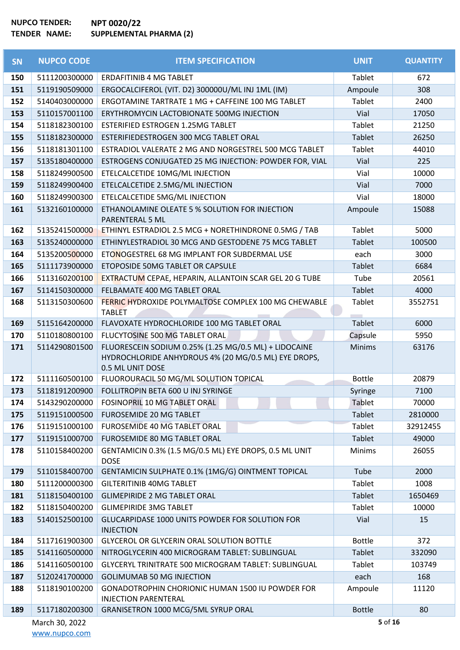| <b>SN</b> | <b>NUPCO CODE</b> | <b>ITEM SPECIFICATION</b>                                                                                                         | <b>UNIT</b>   | <b>QUANTITY</b> |
|-----------|-------------------|-----------------------------------------------------------------------------------------------------------------------------------|---------------|-----------------|
| 150       | 5111200300000     | <b>ERDAFITINIB 4 MG TABLET</b>                                                                                                    | Tablet        | 672             |
| 151       | 5119190509000     | ERGOCALCIFEROL (VIT. D2) 300000U/ML INJ 1ML (IM)                                                                                  | Ampoule       | 308             |
| 152       | 5140403000000     | ERGOTAMINE TARTRATE 1 MG + CAFFEINE 100 MG TABLET                                                                                 | Tablet        | 2400            |
| 153       | 5110157001100     | ERYTHROMYCIN LACTOBIONATE 500MG INJECTION                                                                                         | Vial          | 17050           |
| 154       | 5118182300100     | ESTERIFIED ESTROGEN 1.25MG TABLET                                                                                                 | Tablet        | 21250           |
| 155       | 5118182300000     | ESTERIFIEDESTROGEN 300 MCG TABLET ORAL                                                                                            | Tablet        | 26250           |
| 156       | 5118181301100     | ESTRADIOL VALERATE 2 MG AND NORGESTREL 500 MCG TABLET                                                                             | Tablet        | 44010           |
| 157       | 5135180400000     | ESTROGENS CONJUGATED 25 MG INJECTION: POWDER FOR, VIAL                                                                            | Vial          | 225             |
| 158       | 5118249900500     | ETELCALCETIDE 10MG/ML INJECTION                                                                                                   | Vial          | 10000           |
| 159       | 5118249900400     | ETELCALCETIDE 2.5MG/ML INJECTION                                                                                                  | Vial          | 7000            |
| 160       | 5118249900300     | ETELCALCETIDE 5MG/ML INJECTION                                                                                                    | Vial          | 18000           |
| 161       | 5132160100000     | ETHANOLAMINE OLEATE 5 % SOLUTION FOR INJECTION<br><b>PARENTERAL 5 ML</b>                                                          | Ampoule       | 15088           |
| 162       | 5135241500000     | ETHINYL ESTRADIOL 2.5 MCG + NORETHINDRONE 0.5MG / TAB                                                                             | Tablet        | 5000            |
| 163       | 5135240000000     | ETHINYLESTRADIOL 30 MCG AND GESTODENE 75 MCG TABLET                                                                               | Tablet        | 100500          |
| 164       | 5135200500000     | ETONOGESTREL 68 MG IMPLANT FOR SUBDERMAL USE                                                                                      | each          | 3000            |
| 165       | 5111173900000     | ETOPOSIDE 50MG TABLET OR CAPSULE                                                                                                  | Tablet        | 6684            |
| 166       | 5113160200100     | EXTRACTUM CEPAE, HEPARIN, ALLANTOIN SCAR GEL 20 G TUBE                                                                            | Tube          | 20561           |
| 167       | 5114150300000     | FELBAMATE 400 MG TABLET ORAL                                                                                                      | Tablet        | 4000            |
| 168       | 5113150300600     | FERRIC HYDROXIDE POLYMALTOSE COMPLEX 100 MG CHEWABLE<br><b>TABLET</b>                                                             | Tablet        | 3552751         |
| 169       | 5115164200000     | FLAVOXATE HYDROCHLORIDE 100 MG TABLET ORAL                                                                                        | Tablet        | 6000            |
| 170       | 5110180800100     | FLUCYTOSINE 500 MG TABLET ORAL                                                                                                    | Capsule       | 5950            |
| 171       | 5114290801500     | FLUORESCEIN SODIUM 0.25% (1.25 MG/0.5 ML) + LIDOCAINE<br>HYDROCHLORIDE ANHYDROUS 4% (20 MG/0.5 ML) EYE DROPS,<br>0.5 ML UNIT DOSE | <b>Minims</b> | 63176           |
| 172       | 5111160500100     | FLUOROURACIL 50 MG/ML SOLUTION TOPICAL                                                                                            | <b>Bottle</b> | 20879           |
| 173       | 5118191200900     | FOLLITROPIN BETA 600 U INJ SYRINGE                                                                                                | Syringe       | 7100            |
| 174       | 5143290200000     | FOSINOPRIL 10 MG TABLET ORAL                                                                                                      | Tablet        | 70000           |
| 175       | 5119151000500     | <b>FUROSEMIDE 20 MG TABLET</b>                                                                                                    | Tablet        | 2810000         |
| 176       | 5119151000100     | FUROSEMIDE 40 MG TABLET ORAL                                                                                                      | Tablet        | 32912455        |
| 177       | 5119151000700     | FUROSEMIDE 80 MG TABLET ORAL                                                                                                      | Tablet        | 49000           |
| 178       | 5110158400200     | GENTAMICIN 0.3% (1.5 MG/0.5 ML) EYE DROPS, 0.5 ML UNIT<br><b>DOSE</b>                                                             | <b>Minims</b> | 26055           |
| 179       | 5110158400700     | GENTAMICIN SULPHATE 0.1% (1MG/G) OINTMENT TOPICAL                                                                                 | Tube          | 2000            |
| 180       | 5111200000300     | <b>GILTERITINIB 40MG TABLET</b>                                                                                                   | Tablet        | 1008            |
| 181       | 5118150400100     | <b>GLIMEPIRIDE 2 MG TABLET ORAL</b>                                                                                               | Tablet        | 1650469         |
| 182       | 5118150400200     | <b>GLIMEPIRIDE 3MG TABLET</b>                                                                                                     | Tablet        | 10000           |
| 183       | 5140152500100     | GLUCARPIDASE 1000 UNITS POWDER FOR SOLUTION FOR<br><b>INJECTION</b>                                                               | Vial          | 15              |
| 184       | 5117161900300     | GLYCEROL OR GLYCERIN ORAL SOLUTION BOTTLE                                                                                         | <b>Bottle</b> | 372             |
| 185       | 5141160500000     | NITROGLYCERIN 400 MICROGRAM TABLET: SUBLINGUAL                                                                                    | Tablet        | 332090          |
| 186       | 5141160500100     | GLYCERYL TRINITRATE 500 MICROGRAM TABLET: SUBLINGUAL                                                                              | Tablet        | 103749          |
| 187       | 5120241700000     | <b>GOLIMUMAB 50 MG INJECTION</b>                                                                                                  | each          | 168             |
| 188       | 5118190100200     | <b>GONADOTROPHIN CHORIONIC HUMAN 1500 IU POWDER FOR</b><br><b>INJECTION PARENTERAL</b>                                            | Ampoule       | 11120           |
| 189       | 5117180200300     | GRANISETRON 1000 MCG/5ML SYRUP ORAL                                                                                               | <b>Bottle</b> | 80              |
|           | March 30, 2022    |                                                                                                                                   | 5 of 16       |                 |

[www.nupco.com](http://www.nupco.com/)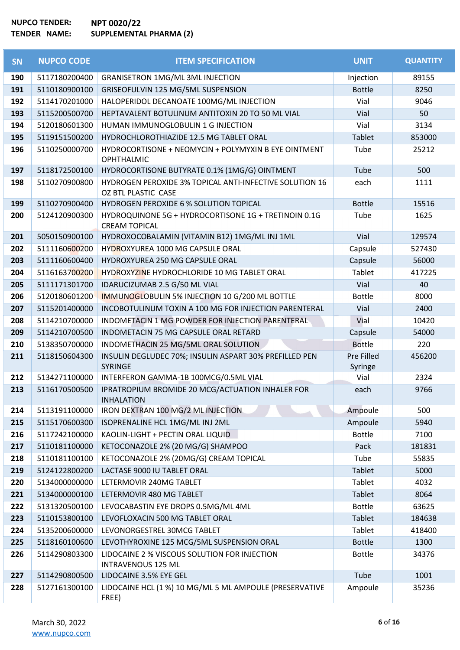| <b>SN</b> | <b>NUPCO CODE</b> | <b>ITEM SPECIFICATION</b>                                                      | <b>UNIT</b>           | <b>QUANTITY</b> |
|-----------|-------------------|--------------------------------------------------------------------------------|-----------------------|-----------------|
| 190       | 5117180200400     | <b>GRANISETRON 1MG/ML 3ML INJECTION</b>                                        | Injection             | 89155           |
| 191       | 5110180900100     | GRISEOFULVIN 125 MG/5ML SUSPENSION                                             | <b>Bottle</b>         | 8250            |
| 192       | 5114170201000     | HALOPERIDOL DECANOATE 100MG/ML INJECTION                                       | Vial                  | 9046            |
| 193       | 5115200500700     | HEPTAVALENT BOTULINUM ANTITOXIN 20 TO 50 ML VIAL                               | Vial                  | 50              |
| 194       | 5120180601300     | HUMAN IMMUNOGLOBULIN 1 G INJECTION                                             | Vial                  | 3134            |
| 195       | 5119151500200     | HYDROCHLOROTHIAZIDE 12.5 MG TABLET ORAL                                        | <b>Tablet</b>         | 853000          |
| 196       | 5110250000700     | HYDROCORTISONE + NEOMYCIN + POLYMYXIN B EYE OINTMENT<br>OPHTHALMIC             | Tube                  | 25212           |
| 197       | 5118172500100     | HYDROCORTISONE BUTYRATE 0.1% (1MG/G) OINTMENT                                  | Tube                  | 500             |
| 198       | 5110270900800     | HYDROGEN PEROXIDE 3% TOPICAL ANTI-INFECTIVE SOLUTION 16<br>OZ BTL PLASTIC CASE | each                  | 1111            |
| 199       | 5110270900400     | HYDROGEN PEROXIDE 6 % SOLUTION TOPICAL                                         | <b>Bottle</b>         | 15516           |
| 200       | 5124120900300     | HYDROQUINONE 5G + HYDROCORTISONE 1G + TRETINOIN 0.1G<br><b>CREAM TOPICAL</b>   | Tube                  | 1625            |
| 201       | 5050150900100     | HYDROXOCOBALAMIN (VITAMIN B12) 1MG/ML INJ 1ML                                  | Vial                  | 129574          |
| 202       | 5111160600200     | HYDROXYUREA 1000 MG CAPSULE ORAL                                               | Capsule               | 527430          |
| 203       | 5111160600400     | HYDROXYUREA 250 MG CAPSULE ORAL                                                | Capsule               | 56000           |
| 204       | 5116163700200     | HYDROXYZINE HYDROCHLORIDE 10 MG TABLET ORAL                                    | Tablet                | 417225          |
| 205       | 5111171301700     | IDARUCIZUMAB 2.5 G/50 ML VIAL                                                  | Vial                  | 40              |
| 206       | 5120180601200     | IMMUNOGLOBULIN 5% INJECTION 10 G/200 ML BOTTLE                                 | <b>Bottle</b>         | 8000            |
| 207       | 5115201400000     | INCOBOTULINUM TOXIN A 100 MG FOR INJECTION PARENTERAL                          | Vial                  | 2400            |
| 208       | 5114210700000     | INDOMETACIN 1 MG POWDER FOR INJECTION PARENTERAL                               | Vial                  | 10420           |
| 209       | 5114210700500     | INDOMETACIN 75 MG CAPSULE ORAL RETARD                                          | Capsule               | 54000           |
| 210       | 5138350700000     | INDOMETHACIN 25 MG/5ML ORAL SOLUTION                                           | <b>Bottle</b>         | 220             |
| 211       | 5118150604300     | INSULIN DEGLUDEC 70%; INSULIN ASPART 30% PREFILLED PEN<br><b>SYRINGE</b>       | Pre Filled<br>Syringe | 456200          |
| 212       | 5134271100000     | INTERFERON GAMMA-1B 100MCG/0.5ML VIAL                                          | Vial                  | 2324            |
| 213       | 5116170500500     | IPRATROPIUM BROMIDE 20 MCG/ACTUATION INHALER FOR<br><b>INHALATION</b>          | each                  | 9766            |
| 214       | 5113191100000     | IRON DEXTRAN 100 MG/2 ML INJECTION                                             | Ampoule               | 500             |
| 215       | 5115170600300     | ISOPRENALINE HCL 1MG/ML INJ 2ML                                                | Ampoule               | 5940            |
| 216       | 5117242100000     | KAOLIN-LIGHT + PECTIN ORAL LIQUID                                              | <b>Bottle</b>         | 7100            |
| 217       | 5110181100000     | KETOCONAZOLE 2% (20 MG/G) SHAMPOO                                              | Pack                  | 181831          |
| 218       | 5110181100100     | KETOCONAZOLE 2% (20MG/G) CREAM TOPICAL                                         | Tube                  | 55835           |
| 219       | 5124122800200     | LACTASE 9000 IU TABLET ORAL                                                    | Tablet                | 5000            |
| 220       | 5134000000000     | LETERMOVIR 240MG TABLET                                                        | Tablet                | 4032            |
| 221       | 5134000000100     | LETERMOVIR 480 MG TABLET                                                       | Tablet                | 8064            |
| 222       | 5131320500100     | LEVOCABASTIN EYE DROPS 0.5MG/ML 4ML                                            | <b>Bottle</b>         | 63625           |
| 223       | 5110153800100     | LEVOFLOXACIN 500 MG TABLET ORAL                                                | Tablet                | 184638          |
| 224       | 5135200600000     | LEVONORGESTREL 30MCG TABLET                                                    | Tablet                | 418400          |
| 225       | 5118160100600     | LEVOTHYROXINE 125 MCG/5ML SUSPENSION ORAL                                      | <b>Bottle</b>         | 1300            |
| 226       | 5114290803300     | LIDOCAINE 2 % VISCOUS SOLUTION FOR INJECTION<br><b>INTRAVENOUS 125 ML</b>      | <b>Bottle</b>         | 34376           |
| 227       | 5114290800500     | LIDOCAINE 3.5% EYE GEL                                                         | Tube                  | 1001            |
| 228       | 5127161300100     | LIDOCAINE HCL (1 %) 10 MG/ML 5 ML AMPOULE (PRESERVATIVE<br>FREE)               | Ampoule               | 35236           |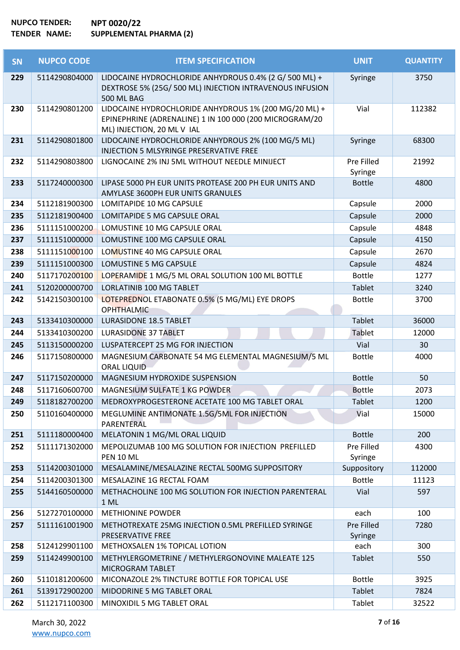| <b>SN</b> | <b>NUPCO CODE</b> | <b>ITEM SPECIFICATION</b>                                                                                                                      | <b>UNIT</b>           | <b>QUANTITY</b> |
|-----------|-------------------|------------------------------------------------------------------------------------------------------------------------------------------------|-----------------------|-----------------|
| 229       | 5114290804000     | LIDOCAINE HYDROCHLORIDE ANHYDROUS 0.4% (2 G/ 500 ML) +<br>DEXTROSE 5% (25G/ 500 ML) INJECTION INTRAVENOUS INFUSION<br>500 ML BAG               | Syringe               | 3750            |
| 230       | 5114290801200     | LIDOCAINE HYDROCHLORIDE ANHYDROUS 1% (200 MG/20 ML) +<br>EPINEPHRINE (ADRENALINE) 1 IN 100 000 (200 MICROGRAM/20<br>ML) INJECTION, 20 ML V IAL | Vial                  | 112382          |
| 231       | 5114290801800     | LIDOCAINE HYDROCHLORIDE ANHYDROUS 2% (100 MG/5 ML)<br>INJECTION 5 MLSYRINGE PRESERVATIVE FREE                                                  | Syringe               | 68300           |
| 232       | 5114290803800     | LIGNOCAINE 2% INJ 5ML WITHOUT NEEDLE MINIJECT                                                                                                  | Pre Filled<br>Syringe | 21992           |
| 233       | 5117240000300     | LIPASE 5000 PH EUR UNITS PROTEASE 200 PH EUR UNITS AND<br>AMYLASE 3600PH EUR UNITS GRANULES                                                    | <b>Bottle</b>         | 4800            |
| 234       | 5112181900300     | <b>LOMITAPIDE 10 MG CAPSULE</b>                                                                                                                | Capsule               | 2000            |
| 235       | 5112181900400     | LOMITAPIDE 5 MG CAPSULE ORAL                                                                                                                   | Capsule               | 2000            |
| 236       | 5111151000200     | LOMUSTINE 10 MG CAPSULE ORAL                                                                                                                   | Capsule               | 4848            |
| 237       | 5111151000000     | LOMUSTINE 100 MG CAPSULE ORAL                                                                                                                  | Capsule               | 4150            |
| 238       | 5111151000100     | LOMUSTINE 40 MG CAPSULE ORAL                                                                                                                   | Capsule               | 2670            |
| 239       | 5111151000300     | LOMUSTINE 5 MG CAPSULE                                                                                                                         | Capsule               | 4824            |
| 240       | 5117170200100     | LOPERAMIDE 1 MG/5 ML ORAL SOLUTION 100 ML BOTTLE                                                                                               | <b>Bottle</b>         | 1277            |
| 241       | 5120200000700     | <b>LORLATINIB 100 MG TABLET</b>                                                                                                                | <b>Tablet</b>         | 3240            |
| 242       | 5142150300100     | LOTEPREDNOL ETABONATE 0.5% (5 MG/ML) EYE DROPS<br><b>OPHTHALMIC</b>                                                                            | <b>Bottle</b>         | 3700            |
| 243       | 5133410300000     | <b>LURASIDONE 18.5 TABLET</b>                                                                                                                  | Tablet                | 36000           |
| 244       | 5133410300200     | <b>LURASIDONE 37 TABLET</b>                                                                                                                    | Tablet                | 12000           |
| 245       | 5113150000200     | LUSPATERCEPT 25 MG FOR INJECTION                                                                                                               | Vial                  | 30              |
| 246       | 5117150800000     | MAGNESIUM CARBONATE 54 MG ELEMENTAL MAGNESIUM/5 ML<br><b>ORAL LIQUID</b>                                                                       | <b>Bottle</b>         | 4000            |
| 247       | 5117150200000     | MAGNESIUM HYDROXIDE SUSPENSION                                                                                                                 | <b>Bottle</b>         | 50              |
| 248       | 5117160600700     | MAGNESIUM SULFATE 1 KG POWDER                                                                                                                  | <b>Bottle</b>         | 2073            |
| 249       | 5118182700200     | MEDROXYPROGESTERONE ACETATE 100 MG TABLET ORAL                                                                                                 | Tablet                | 1200            |
| 250       | 5110160400000     | MEGLUMINE ANTIMONATE 1.5G/5ML FOR INJECTION<br>PARENTERAL                                                                                      | Vial                  | 15000           |
| 251       | 5111180000400     | MELATONIN 1 MG/ML ORAL LIQUID                                                                                                                  | <b>Bottle</b>         | 200             |
| 252       | 5111171302000     | MEPOLIZUMAB 100 MG SOLUTION FOR INJECTION PREFILLED<br>PEN 10 ML                                                                               | Pre Filled<br>Syringe | 4300            |
| 253       | 5114200301000     | MESALAMINE/MESALAZINE RECTAL 500MG SUPPOSITORY                                                                                                 | Suppository           | 112000          |
| 254       | 5114200301300     | MESALAZINE 1G RECTAL FOAM                                                                                                                      | <b>Bottle</b>         | 11123           |
| 255       | 5144160500000     | METHACHOLINE 100 MG SOLUTION FOR INJECTION PARENTERAL<br>1 ML                                                                                  | Vial                  | 597             |
| 256       | 5127270100000     | <b>METHIONINE POWDER</b>                                                                                                                       | each                  | 100             |
| 257       | 5111161001900     | METHOTREXATE 25MG INJECTION 0.5ML PREFILLED SYRINGE<br>PRESERVATIVE FREE                                                                       | Pre Filled<br>Syringe | 7280            |
| 258       | 5124129901100     | METHOXSALEN 1% TOPICAL LOTION                                                                                                                  | each                  | 300             |
| 259       | 5114249900100     | METHYLERGOMETRINE / METHYLERGONOVINE MALEATE 125<br>MICROGRAM TABLET                                                                           | Tablet                | 550             |
| 260       | 5110181200600     | MICONAZOLE 2% TINCTURE BOTTLE FOR TOPICAL USE                                                                                                  | <b>Bottle</b>         | 3925            |
| 261       | 5139172900200     | MIDODRINE 5 MG TABLET ORAL                                                                                                                     | Tablet                | 7824            |
| 262       | 5112171100300     | MINOXIDIL 5 MG TABLET ORAL                                                                                                                     | Tablet                | 32522           |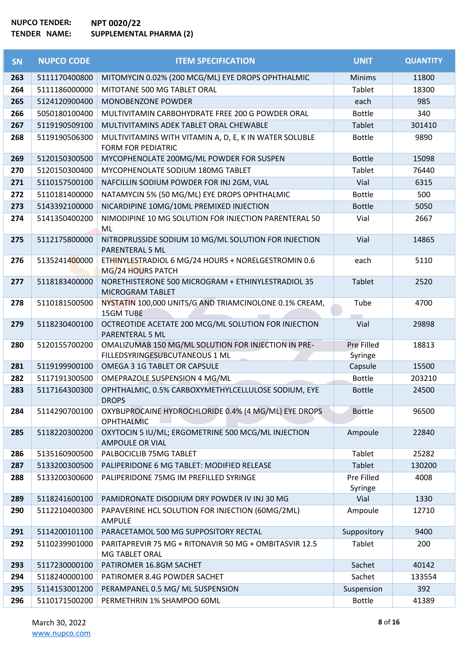| <b>SN</b> | <b>NUPCO CODE</b> | <b>ITEM SPECIFICATION</b>                                                             | <b>UNIT</b>           | <b>QUANTITY</b> |
|-----------|-------------------|---------------------------------------------------------------------------------------|-----------------------|-----------------|
| 263       | 5111170400800     | MITOMYCIN 0.02% (200 MCG/ML) EYE DROPS OPHTHALMIC                                     | <b>Minims</b>         | 11800           |
| 264       | 5111186000000     | MITOTANE 500 MG TABLET ORAL                                                           | Tablet                | 18300           |
| 265       | 5124120900400     | MONOBENZONE POWDER                                                                    | each                  | 985             |
| 266       | 5050180100400     | MULTIVITAMIN CARBOHYDRATE FREE 200 G POWDER ORAL                                      | <b>Bottle</b>         | 340             |
| 267       | 5119190509100     | MULTIVITAMINS ADEK TABLET ORAL CHEWABLE                                               | Tablet                | 301410          |
| 268       | 5119190506300     | MULTIVITAMINS WITH VITAMIN A, D, E, K IN WATER SOLUBLE<br><b>FORM FOR PEDIATRIC</b>   | <b>Bottle</b>         | 9890            |
| 269       | 5120150300500     | MYCOPHENOLATE 200MG/ML POWDER FOR SUSPEN                                              | <b>Bottle</b>         | 15098           |
| 270       | 5120150300400     | MYCOPHENOLATE SODIUM 180MG TABLET                                                     | Tablet                | 76440           |
| 271       | 5110157500100     | NAFCILLIN SODIUM POWDER FOR INJ 2GM, VIAL                                             | Vial                  | 6315            |
| 272       | 5110181400000     | NATAMYCIN 5% (50 MG/ML) EYE DROPS OPHTHALMIC                                          | <b>Bottle</b>         | 500             |
| 273       | 5143392100000     | NICARDIPINE 10MG/10ML PREMIXED INJECTION                                              | <b>Bottle</b>         | 5050            |
| 274       | 5141350400200     | NIMODIPINE 10 MG SOLUTION FOR INJECTION PARENTERAL 50<br>ML                           | Vial                  | 2667            |
| 275       | 5112175800000     | NITROPRUSSIDE SODIUM 10 MG/ML SOLUTION FOR INJECTION<br>PARENTERAL 5 ML               | Vial                  | 14865           |
| 276       | 5135241400000     | ETHINYLESTRADIOL 6 MG/24 HOURS + NORELGESTROMIN 0.6<br>MG/24 HOURS PATCH              | each                  | 5110            |
| 277       | 5118183400000     | NORETHISTERONE 500 MICROGRAM + ETHINYLESTRADIOL 35<br>MICROGRAM TABLET                | <b>Tablet</b>         | 2520            |
| 278       | 5110181500500     | NYSTATIN 100,000 UNITS/G AND TRIAMCINOLONE 0.1% CREAM,<br><b>15GM TUBE</b>            | Tube                  | 4700            |
| 279       | 5118230400100     | OCTREOTIDE ACETATE 200 MCG/ML SOLUTION FOR INJECTION<br>PARENTERAL 5 ML               | Vial                  | 29898           |
| 280       | 5120155700200     | OMALIZUMAB 150 MG/ML SOLUTION FOR INJECTION IN PRE-<br>FILLEDSYRINGESUBCUTANEOUS 1 ML | Pre Filled<br>Syringe | 18813           |
| 281       | 5119199900100     | OMEGA 3 1G TABLET OR CAPSULE                                                          | Capsule               | 15500           |
| 282       | 5117191300500     | OMEPRAZOLE SUSPENSION 4 MG/ML                                                         | <b>Bottle</b>         | 203210          |
| 283       | 5117164300300     | OPHTHALMIC, 0.5% CARBOXYMETHYLCELLULOSE SODIUM, EYE<br><b>DROPS</b>                   | <b>Bottle</b>         | 24500           |
| 284       | 5114290700100     | OXYBUPROCAINE HYDROCHLORIDE 0.4% (4 MG/ML) EYE DROPS<br><b>OPHTHALMIC</b>             | <b>Bottle</b>         | 96500           |
| 285       | 5118220300200     | OXYTOCIN 5 IU/ML; ERGOMETRINE 500 MCG/ML INJECTION<br><b>AMPOULE OR VIAL</b>          | Ampoule               | 22840           |
| 286       | 5135160900500     | PALBOCICLIB 75MG TABLET                                                               | Tablet                | 25282           |
| 287       | 5133200300500     | PALIPERIDONE 6 MG TABLET: MODIFIED RELEASE                                            | Tablet                | 130200          |
| 288       | 5133200300600     | PALIPERIDONE 75MG IM PREFILLED SYRINGE                                                | Pre Filled<br>Syringe | 4008            |
| 289       | 5118241600100     | PAMIDRONATE DISODIUM DRY POWDER IV INJ 30 MG                                          | Vial                  | 1330            |
| 290       | 5112210400300     | PAPAVERINE HCL SOLUTION FOR INJECTION (60MG/2ML)<br>AMPULE                            | Ampoule               | 12710           |
| 291       | 5114200101100     | PARACETAMOL 500 MG SUPPOSITORY RECTAL                                                 | Suppository           | 9400            |
| 292       | 5110239901000     | PARITAPREVIR 75 MG + RITONAVIR 50 MG + OMBITASVIR 12.5<br><b>MG TABLET ORAL</b>       | Tablet                | 200             |
| 293       | 5117230000100     | PATIROMER 16.8GM SACHET                                                               | Sachet                | 40142           |
| 294       | 5118240000100     | PATIROMER 8.4G POWDER SACHET                                                          | Sachet                | 133554          |
| 295       | 5114153001200     | PERAMPANEL 0.5 MG/ML SUSPENSION                                                       | Suspension            | 392             |
| 296       | 5110171500200     | PERMETHRIN 1% SHAMPOO 60ML                                                            | <b>Bottle</b>         | 41389           |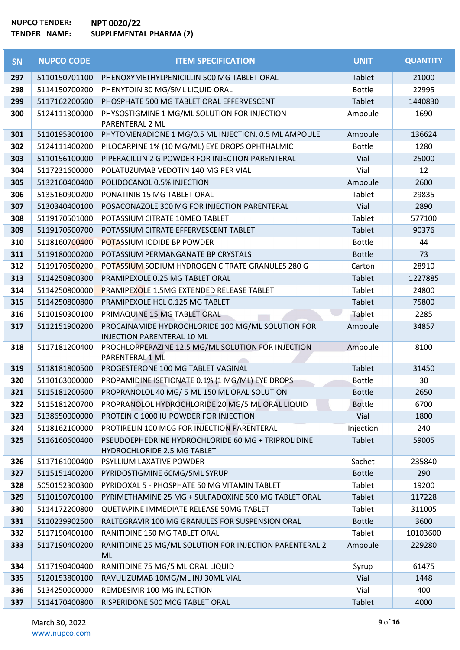| SN  | <b>NUPCO CODE</b> | <b>ITEM SPECIFICATION</b>                                                               | <b>UNIT</b>   | <b>QUANTITY</b> |
|-----|-------------------|-----------------------------------------------------------------------------------------|---------------|-----------------|
| 297 | 5110150701100     | PHENOXYMETHYLPENICILLIN 500 MG TABLET ORAL                                              | Tablet        | 21000           |
| 298 | 5114150700200     | PHENYTOIN 30 MG/5ML LIQUID ORAL                                                         | <b>Bottle</b> | 22995           |
| 299 | 5117162200600     | PHOSPHATE 500 MG TABLET ORAL EFFERVESCENT                                               | Tablet        | 1440830         |
| 300 | 5124111300000     | PHYSOSTIGMINE 1 MG/ML SOLUTION FOR INJECTION<br>PARENTERAL 2 ML                         | Ampoule       | 1690            |
| 301 | 5110195300100     | PHYTOMENADIONE 1 MG/0.5 ML INJECTION, 0.5 ML AMPOULE                                    | Ampoule       | 136624          |
| 302 | 5124111400200     | PILOCARPINE 1% (10 MG/ML) EYE DROPS OPHTHALMIC                                          | <b>Bottle</b> | 1280            |
| 303 | 5110156100000     | PIPERACILLIN 2 G POWDER FOR INJECTION PARENTERAL                                        | Vial          | 25000           |
| 304 | 5117231600000     | POLATUZUMAB VEDOTIN 140 MG PER VIAL                                                     | Vial          | 12              |
| 305 | 5132160400400     | POLIDOCANOL 0.5% INJECTION                                                              | Ampoule       | 2600            |
| 306 | 5135160900200     | PONATINIB 15 MG TABLET ORAL                                                             | Tablet        | 29835           |
| 307 | 5130340400100     | POSACONAZOLE 300 MG FOR INJECTION PARENTERAL                                            | Vial          | 2890            |
| 308 | 5119170501000     | POTASSIUM CITRATE 10MEQ TABLET                                                          | Tablet        | 577100          |
| 309 | 5119170500700     | POTASSIUM CITRATE EFFERVESCENT TABLET                                                   | Tablet        | 90376           |
| 310 | 5118160700400     | <b>POTASSIUM IODIDE BP POWDER</b>                                                       | <b>Bottle</b> | 44              |
| 311 | 5119180000200     | POTASSIUM PERMANGANATE BP CRYSTALS                                                      | <b>Bottle</b> | 73              |
| 312 | 5119170500200     | POTASSIUM SODIUM HYDROGEN CITRATE GRANULES 280 G                                        | Carton        | 28910           |
| 313 | 5114250800300     | PRAMIPEXOLE 0.25 MG TABLET ORAL                                                         | Tablet        | 1227885         |
| 314 | 5114250800000     | <b>PRAMIPEXOLE 1.5MG EXTENDED RELEASE TABLET</b>                                        | Tablet        | 24800           |
| 315 | 5114250800800     | PRAMIPEXOLE HCL 0.125 MG TABLET                                                         | Tablet        | 75800           |
| 316 | 5110190300100     | PRIMAQUINE 15 MG TABLET ORAL                                                            | Tablet        | 2285            |
| 317 | 5112151900200     | PROCAINAMIDE HYDROCHLORIDE 100 MG/ML SOLUTION FOR                                       | Ampoule       | 34857           |
| 318 | 5117181200400     | <b>INJECTION PARENTERAL 10 ML</b><br>PROCHLORPERAZINE 12.5 MG/ML SOLUTION FOR INJECTION | Ampoule       | 8100            |
|     |                   | PARENTERAL 1 ML                                                                         |               |                 |
| 319 | 5118181800500     | PROGESTERONE 100 MG TABLET VAGINAL                                                      | Tablet        | 31450           |
| 320 | 5110163000000     | PROPAMIDINE ISETIONATE 0.1% (1 MG/ML) EYE DROPS                                         | Bottle        | 30              |
| 321 | 5115181200600     | PROPRANOLOL 40 MG/ 5 ML 150 ML ORAL SOLUTION                                            | <b>Bottle</b> | 2650            |
| 322 | 5115181200700     | PROPRANOLOL HYDROCHLORIDE 20 MG/5 ML ORAL LIQUID                                        | <b>Bottle</b> | 6700            |
| 323 | 5138650000000     | PROTEIN C 1000 IU POWDER FOR INJECTION                                                  | Vial          | 1800            |
| 324 | 5118162100000     | PROTIRELIN 100 MCG FOR INJECTION PARENTERAL                                             | Injection     | 240             |
| 325 | 5116160600400     | PSEUDOEPHEDRINE HYDROCHLORIDE 60 MG + TRIPROLIDINE                                      | Tablet        | 59005           |
|     |                   | <b>HYDROCHLORIDE 2.5 MG TABLET</b>                                                      |               |                 |
| 326 | 5117161000400     | PSYLLIUM LAXATIVE POWDER                                                                | Sachet        | 235840          |
| 327 | 5115151400200     | PYRIDOSTIGMINE 60MG/5ML SYRUP                                                           | <b>Bottle</b> | 290             |
| 328 | 5050152300300     | PYRIDOXAL 5 - PHOSPHATE 50 MG VITAMIN TABLET                                            | Tablet        | 19200           |
| 329 | 5110190700100     | PYRIMETHAMINE 25 MG + SULFADOXINE 500 MG TABLET ORAL                                    | <b>Tablet</b> | 117228          |
| 330 | 5114172200800     | QUETIAPINE IMMEDIATE RELEASE 50MG TABLET                                                | Tablet        | 311005          |
| 331 | 5110239902500     | RALTEGRAVIR 100 MG GRANULES FOR SUSPENSION ORAL                                         | <b>Bottle</b> | 3600            |
| 332 | 5117190400100     | RANITIDINE 150 MG TABLET ORAL                                                           | Tablet        | 10103600        |
| 333 | 5117190400200     | RANITIDINE 25 MG/ML SOLUTION FOR INJECTION PARENTERAL 2<br>ML                           | Ampoule       | 229280          |
| 334 | 5117190400400     | RANITIDINE 75 MG/5 ML ORAL LIQUID                                                       | Syrup         | 61475           |
| 335 | 5120153800100     | RAVULIZUMAB 10MG/ML INJ 30ML VIAL                                                       | Vial          | 1448            |
| 336 | 5134250000000     | REMDESIVIR 100 MG INJECTION                                                             | Vial          | 400             |
| 337 | 5114170400800     | RISPERIDONE 500 MCG TABLET ORAL                                                         | Tablet        | 4000            |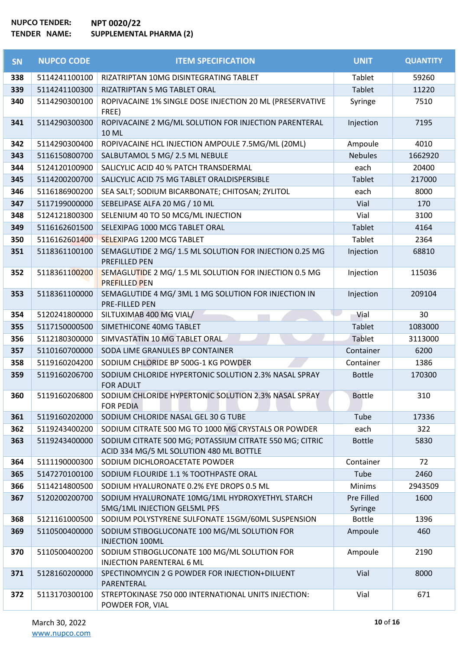| SN  | <b>NUPCO CODE</b> | <b>ITEM SPECIFICATION</b>                                                                          | <b>UNIT</b>           | <b>QUANTITY</b> |
|-----|-------------------|----------------------------------------------------------------------------------------------------|-----------------------|-----------------|
| 338 | 5114241100100     | RIZATRIPTAN 10MG DISINTEGRATING TABLET                                                             | Tablet                | 59260           |
| 339 | 5114241100300     | RIZATRIPTAN 5 MG TABLET ORAL                                                                       | Tablet                | 11220           |
| 340 | 5114290300100     | ROPIVACAINE 1% SINGLE DOSE INJECTION 20 ML (PRESERVATIVE<br>FREE)                                  | Syringe               | 7510            |
| 341 | 5114290300300     | ROPIVACAINE 2 MG/ML SOLUTION FOR INJECTION PARENTERAL<br><b>10 ML</b>                              | Injection             | 7195            |
| 342 | 5114290300400     | ROPIVACAINE HCL INJECTION AMPOULE 7.5MG/ML (20ML)                                                  | Ampoule               | 4010            |
| 343 | 5116150800700     | SALBUTAMOL 5 MG/ 2.5 ML NEBULE                                                                     | <b>Nebules</b>        | 1662920         |
| 344 | 5124120100900     | SALICYLIC ACID 40 % PATCH TRANSDERMAL                                                              | each                  | 20400           |
| 345 | 5114200200700     | SALICYLIC ACID 75 MG TABLET ORALDISPERSIBLE                                                        | Tablet                | 217000          |
| 346 | 5116186900200     | SEA SALT; SODIUM BICARBONATE; CHITOSAN; ZYLITOL                                                    | each                  | 8000            |
| 347 | 5117199000000     | SEBELIPASE ALFA 20 MG / 10 ML                                                                      | Vial                  | 170             |
| 348 | 5124121800300     | SELENIUM 40 TO 50 MCG/ML INJECTION                                                                 | Vial                  | 3100            |
| 349 | 5116162601500     | SELEXIPAG 1000 MCG TABLET ORAL                                                                     | Tablet                | 4164            |
| 350 | 5116162601400     | SELEXIPAG 1200 MCG TABLET                                                                          | Tablet                | 2364            |
| 351 | 5118361100100     | SEMAGLUTIDE 2 MG/ 1.5 ML SOLUTION FOR INJECTION 0.25 MG<br>PREFILLED PEN                           | Injection             | 68810           |
| 352 | 5118361100200     | SEMAGLUTIDE 2 MG/ 1.5 ML SOLUTION FOR INJECTION 0.5 MG<br><b>PREFILLED PEN</b>                     | Injection             | 115036          |
| 353 | 5118361100000     | SEMAGLUTIDE 4 MG/ 3ML 1 MG SOLUTION FOR INJECTION IN<br>PRE-FILLED PEN                             | Injection             | 209104          |
| 354 | 5120241800000     | SILTUXIMAB 400 MG VIAL/                                                                            | Vial                  | 30              |
| 355 | 5117150000500     | SIMETHICONE 40MG TABLET                                                                            | Tablet                | 1083000         |
| 356 | 5112180300000     | SIMVASTATIN 10 MG TABLET ORAL                                                                      | Tablet                | 3113000         |
| 357 | 5110160700000     | SODA LIME GRANULES BP CONTAINER                                                                    | Container             | 6200            |
| 358 | 5119160204200     | SODIUM CHLORIDE BP 500G-1 KG POWDER                                                                | Container             | 1386            |
| 359 | 5119160206700     | SODIUM CHLORIDE HYPERTONIC SOLUTION 2.3% NASAL SPRAY<br><b>FOR ADULT</b>                           | <b>Bottle</b>         | 170300          |
| 360 | 5119160206800     | SODIUM CHLORIDE HYPERTONIC SOLUTION 2.3% NASAL SPRAY<br><b>FOR PEDIA</b>                           | <b>Bottle</b>         | 310             |
| 361 | 5119160202000     | SODIUM CHLORIDE NASAL GEL 30 G TUBE                                                                | Tube                  | 17336           |
| 362 | 5119243400200     | SODIUM CITRATE 500 MG TO 1000 MG CRYSTALS OR POWDER                                                | each                  | 322             |
| 363 | 5119243400000     | SODIUM CITRATE 500 MG; POTASSIUM CITRATE 550 MG; CITRIC<br>ACID 334 MG/5 ML SOLUTION 480 ML BOTTLE | <b>Bottle</b>         | 5830            |
| 364 | 5111190000300     | SODIUM DICHLOROACETATE POWDER                                                                      | Container             | 72              |
| 365 | 5147270100100     | SODIUM FLOURIDE 1.1 % TOOTHPASTE ORAL                                                              | Tube                  | 2460            |
| 366 | 5114214800500     | SODIUM HYALURONATE 0.2% EYE DROPS 0.5 ML                                                           | <b>Minims</b>         | 2943509         |
| 367 | 5120200200700     | SODIUM HYALURONATE 10MG/1ML HYDROXYETHYL STARCH<br>5MG/1ML INJECTION GEL5ML PFS                    | Pre Filled<br>Syringe | 1600            |
| 368 | 5121161000500     | SODIUM POLYSTYRENE SULFONATE 15GM/60ML SUSPENSION                                                  | <b>Bottle</b>         | 1396            |
| 369 | 5110500400000     | SODIUM STIBOGLUCONATE 100 MG/ML SOLUTION FOR<br><b>INJECTION 100ML</b>                             | Ampoule               | 460             |
| 370 | 5110500400200     | SODIUM STIBOGLUCONATE 100 MG/ML SOLUTION FOR<br><b>INJECTION PARENTERAL 6 ML</b>                   | Ampoule               | 2190            |
| 371 | 5128160200000     | SPECTINOMYCIN 2 G POWDER FOR INJECTION+DILUENT<br>PARENTERAL                                       | Vial                  | 8000            |
| 372 | 5113170300100     | STREPTOKINASE 750 000 INTERNATIONAL UNITS INJECTION:<br>POWDER FOR, VIAL                           | Vial                  | 671             |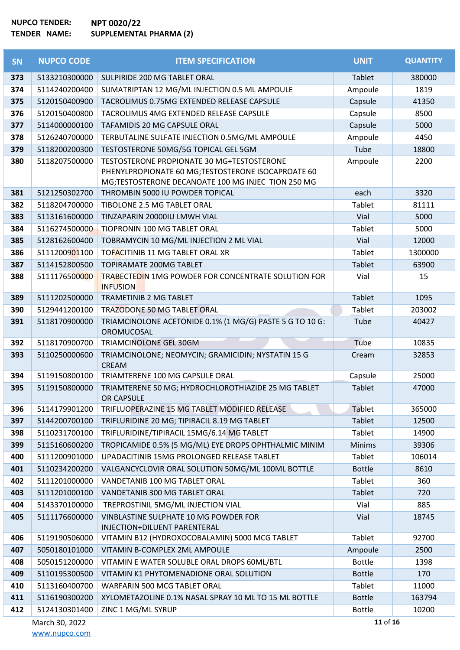| <b>SN</b> | <b>NUPCO CODE</b> | <b>ITEM SPECIFICATION</b>                                                                                                                              | <b>UNIT</b>   | <b>QUANTITY</b> |
|-----------|-------------------|--------------------------------------------------------------------------------------------------------------------------------------------------------|---------------|-----------------|
| 373       | 5133210300000     | SULPIRIDE 200 MG TABLET ORAL                                                                                                                           | Tablet        | 380000          |
| 374       | 5114240200400     | SUMATRIPTAN 12 MG/ML INJECTION 0.5 ML AMPOULE                                                                                                          | Ampoule       | 1819            |
| 375       | 5120150400900     | TACROLIMUS 0.75MG EXTENDED RELEASE CAPSULE                                                                                                             | Capsule       | 41350           |
| 376       | 5120150400800     | TACROLIMUS 4MG EXTENDED RELEASE CAPSULE                                                                                                                | Capsule       | 8500            |
| 377       | 5114000000100     | TAFAMIDIS 20 MG CAPSULE ORAL                                                                                                                           | Capsule       | 5000            |
| 378       | 5126240700000     | TERBUTALINE SULFATE INJECTION 0.5MG/ML AMPOULE                                                                                                         | Ampoule       | 4450            |
| 379       | 5118200200300     | TESTOSTERONE 50MG/5G TOPICAL GEL 5GM                                                                                                                   | Tube          | 18800           |
| 380       | 5118207500000     | TESTOSTERONE PROPIONATE 30 MG+TESTOSTERONE<br>PHENYLPROPIONATE 60 MG;TESTOSTERONE ISOCAPROATE 60<br>MG;TESTOSTERONE DECANOATE 100 MG INJEC TION 250 MG | Ampoule       | 2200            |
| 381       | 5121250302700     | THROMBIN 5000 IU POWDER TOPICAL                                                                                                                        | each          | 3320            |
| 382       | 5118204700000     | TIBOLONE 2.5 MG TABLET ORAL                                                                                                                            | Tablet        | 81111           |
| 383       | 5113161600000     | TINZAPARIN 20000IU LMWH VIAL                                                                                                                           | Vial          | 5000            |
| 384       | 5116274500000     | <b>TIOPRONIN 100 MG TABLET ORAL</b>                                                                                                                    | Tablet        | 5000            |
| 385       | 5128162600400     | TOBRAMYCIN 10 MG/ML INJECTION 2 ML VIAL                                                                                                                | Vial          | 12000           |
| 386       | 5111200901100     | TOFACITINIB 11 MG TABLET ORAL XR                                                                                                                       | Tablet        | 1300000         |
| 387       | 5114152800500     | TOPIRAMATE 200MG TABLET                                                                                                                                | Tablet        | 63900           |
| 388       | 5111176500000     | TRABECTEDIN 1MG POWDER FOR CONCENTRATE SOLUTION FOR<br><b>INFUSION</b>                                                                                 | Vial          | 15              |
| 389       | 5111202500000     | <b>TRAMETINIB 2 MG TABLET</b>                                                                                                                          | <b>Tablet</b> | 1095            |
| 390       | 5129441200100     | TRAZODONE 50 MG TABLET ORAL                                                                                                                            | Tablet        | 203002          |
| 391       | 5118170900000     | TRIAMCINOLONE ACETONIDE 0.1% (1 MG/G) PASTE 5 G TO 10 G:<br>OROMUCOSAL                                                                                 | Tube          | 40427           |
| 392       | 5118170900700     | TRIAMCINOLONE GEL 30GM                                                                                                                                 | Tube          | 10835           |
| 393       | 5110250000600     | TRIAMCINOLONE; NEOMYCIN; GRAMICIDIN; NYSTATIN 15 G<br><b>CREAM</b>                                                                                     | Cream         | 32853           |
| 394       | 5119150800100     | TRIAMTERENE 100 MG CAPSULE ORAL                                                                                                                        | Capsule       | 25000           |
| 395       | 5119150800000     | TRIAMTERENE 50 MG; HYDROCHLOROTHIAZIDE 25 MG TABLET<br>OR CAPSULE                                                                                      | <b>Tablet</b> | 47000           |
| 396       | 5114179901200     | TRIFLUOPERAZINE 15 MG TABLET MODIFIED RELEASE                                                                                                          | Tablet        | 365000          |
| 397       | 5144200700100     | TRIFLURIDINE 20 MG; TIPIRACIL 8.19 MG TABLET                                                                                                           | Tablet        | 12500           |
| 398       | 5110231700100     | TRIFLURIDINE/TIPIRACIL 15MG/6.14 MG TABLET                                                                                                             | Tablet        | 14900           |
| 399       | 5115160600200     | TROPICAMIDE 0.5% (5 MG/ML) EYE DROPS OPHTHALMIC MINIM                                                                                                  | <b>Minims</b> | 39306           |
| 400       | 5111200901000     | UPADACITINIB 15MG PROLONGED RELEASE TABLET                                                                                                             | Tablet        | 106014          |
| 401       | 5110234200200     | VALGANCYCLOVIR ORAL SOLUTION 50MG/ML 100ML BOTTLE                                                                                                      | <b>Bottle</b> | 8610            |
| 402       | 5111201000000     | VANDETANIB 100 MG TABLET ORAL                                                                                                                          | Tablet        | 360             |
| 403       | 5111201000100     | VANDETANIB 300 MG TABLET ORAL                                                                                                                          | Tablet        | 720             |
| 404       | 5143370100000     | TREPROSTINIL 5MG/ML INJECTION VIAL                                                                                                                     | Vial          | 885             |
| 405       | 5111176600000     | VINBLASTINE SULPHATE 10 MG POWDER FOR<br>INJECTION+DILUENT PARENTERAL                                                                                  | Vial          | 18745           |
| 406       | 5119190506000     | VITAMIN B12 (HYDROXOCOBALAMIN) 5000 MCG TABLET                                                                                                         | Tablet        | 92700           |
| 407       | 5050180101000     | VITAMIN B-COMPLEX 2ML AMPOULE                                                                                                                          | Ampoule       | 2500            |
| 408       | 5050151200000     | VITAMIN E WATER SOLUBLE ORAL DROPS 60ML/BTL                                                                                                            | <b>Bottle</b> | 1398            |
| 409       | 5110195300500     | VITAMIN K1 PHYTOMENADIONE ORAL SOLUTION                                                                                                                | <b>Bottle</b> | 170             |
| 410       | 5113160400700     | WARFARIN 500 MCG TABLET ORAL                                                                                                                           | Tablet        | 11000           |
| 411       | 5116190300200     | XYLOMETAZOLINE 0.1% NASAL SPRAY 10 ML TO 15 ML BOTTLE                                                                                                  | <b>Bottle</b> | 163794          |
| 412       | 5124130301400     | ZINC 1 MG/ML SYRUP                                                                                                                                     | <b>Bottle</b> | 10200           |
|           | March 30, 2022    |                                                                                                                                                        | 11 of 16      |                 |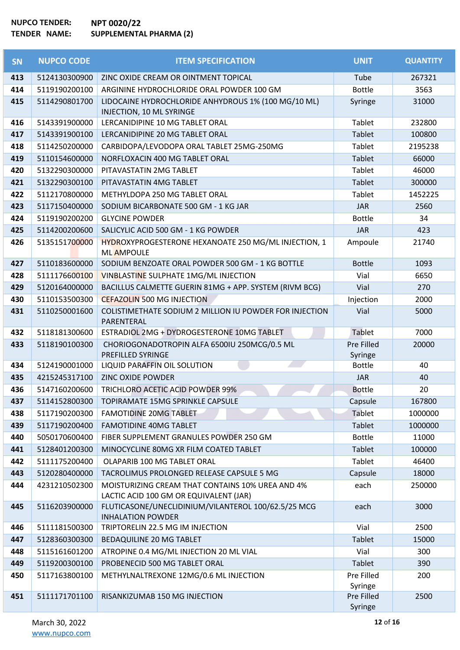| <b>SN</b> | <b>NUPCO CODE</b> | <b>ITEM SPECIFICATION</b>                                                                  | <b>UNIT</b>           | <b>QUANTITY</b> |
|-----------|-------------------|--------------------------------------------------------------------------------------------|-----------------------|-----------------|
| 413       | 5124130300900     | ZINC OXIDE CREAM OR OINTMENT TOPICAL                                                       | Tube                  | 267321          |
| 414       | 5119190200100     | ARGININE HYDROCHLORIDE ORAL POWDER 100 GM                                                  | <b>Bottle</b>         | 3563            |
| 415       | 5114290801700     | LIDOCAINE HYDROCHLORIDE ANHYDROUS 1% (100 MG/10 ML)<br>INJECTION, 10 ML SYRINGE            | Syringe               | 31000           |
| 416       | 5143391900000     | LERCANIDIPINE 10 MG TABLET ORAL                                                            | <b>Tablet</b>         | 232800          |
| 417       | 5143391900100     | LERCANIDIPINE 20 MG TABLET ORAL                                                            | Tablet                | 100800          |
| 418       | 5114250200000     | CARBIDOPA/LEVODOPA ORAL TABLET 25MG-250MG                                                  | Tablet                | 2195238         |
| 419       | 5110154600000     | NORFLOXACIN 400 MG TABLET ORAL                                                             | <b>Tablet</b>         | 66000           |
| 420       | 5132290300000     | PITAVASTATIN 2MG TABLET                                                                    | Tablet                | 46000           |
| 421       | 5132290300100     | PITAVASTATIN 4MG TABLET                                                                    | Tablet                | 300000          |
| 422       | 5112170800000     | METHYLDOPA 250 MG TABLET ORAL                                                              | Tablet                | 1452225         |
| 423       | 5117150400000     | SODIUM BICARBONATE 500 GM - 1 KG JAR                                                       | <b>JAR</b>            | 2560            |
| 424       | 5119190200200     | <b>GLYCINE POWDER</b>                                                                      | <b>Bottle</b>         | 34              |
| 425       | 5114200200600     | SALICYLIC ACID 500 GM - 1 KG POWDER                                                        | <b>JAR</b>            | 423             |
| 426       | 5135151700000     | HYDROXYPROGESTERONE HEXANOATE 250 MG/ML INJECTION, 1<br><b>ML AMPOULE</b>                  | Ampoule               | 21740           |
| 427       | 5110183600000     | SODIUM BENZOATE ORAL POWDER 500 GM - 1 KG BOTTLE                                           | <b>Bottle</b>         | 1093            |
| 428       | 5111176600100     | VINBLASTINE SULPHATE 1MG/ML INJECTION                                                      | Vial                  | 6650            |
| 429       | 5120164000000     | BACILLUS CALMETTE GUERIN 81MG + APP. SYSTEM (RIVM BCG)                                     | Vial                  | 270             |
| 430       | 5110153500300     | <b>CEFAZOLIN 500 MG INJECTION</b>                                                          | Injection             | 2000            |
| 431       | 5110250001600     | COLISTIMETHATE SODIUM 2 MILLION IU POWDER FOR INJECTION<br>PARENTERAL                      | Vial                  | 5000            |
| 432       | 5118181300600     | ESTRADIOL 2MG + DYDROGESTERONE 10MG TABLET                                                 | Tablet                | 7000            |
| 433       | 5118190100300     | CHORIOGONADOTROPIN ALFA 6500IU 250MCG/0.5 ML<br>PREFILLED SYRINGE                          | Pre Filled<br>Syringe | 20000           |
| 434       | 5124190001000     | LIQUID PARAFFIN OIL SOLUTION                                                               | <b>Bottle</b>         | 40              |
| 435       | 4215245317100     | <b>ZINC OXIDE POWDER</b>                                                                   | <b>JAR</b>            | 40              |
| 436       | 5147160200600     | TRICHLORO ACETIC ACID POWDER 99%                                                           | <b>Bottle</b>         | 20              |
| 437       | 5114152800300     | TOPIRAMATE 15MG SPRINKLE CAPSULE                                                           | Capsule               | 167800          |
| 438       | 5117190200300     | <b>FAMOTIDINE 20MG TABLET</b>                                                              | Tablet                | 1000000         |
| 439       | 5117190200400     | <b>FAMOTIDINE 40MG TABLET</b>                                                              | Tablet                | 1000000         |
| 440       | 5050170600400     | FIBER SUPPLEMENT GRANULES POWDER 250 GM                                                    | <b>Bottle</b>         | 11000           |
| 441       | 5128401200300     | MINOCYCLINE 80MG XR FILM COATED TABLET                                                     | Tablet                | 100000          |
| 442       | 5111175200400     | OLAPARIB 100 MG TABLET ORAL                                                                | Tablet                | 46400           |
| 443       | 5120280400000     | TACROLIMUS PROLONGED RELEASE CAPSULE 5 MG                                                  | Capsule               | 18000           |
| 444       | 4231210502300     | MOISTURIZING CREAM THAT CONTAINS 10% UREA AND 4%<br>LACTIC ACID 100 GM OR EQUIVALENT (JAR) | each                  | 250000          |
| 445       | 5116203900000     | FLUTICASONE/UNECLIDINIUM/VILANTEROL 100/62.5/25 MCG<br><b>INHALATION POWDER</b>            | each                  | 3000            |
| 446       | 5111181500300     | TRIPTORELIN 22.5 MG IM INJECTION                                                           | Vial                  | 2500            |
| 447       | 5128360300300     | BEDAQUILINE 20 MG TABLET                                                                   | Tablet                | 15000           |
| 448       | 5115161601200     | ATROPINE 0.4 MG/ML INJECTION 20 ML VIAL                                                    | Vial                  | 300             |
| 449       | 5119200300100     | PROBENECID 500 MG TABLET ORAL                                                              | Tablet                | 390             |
| 450       | 5117163800100     | METHYLNALTREXONE 12MG/0.6 ML INJECTION                                                     | Pre Filled<br>Syringe | 200             |
| 451       | 5111171701100     | RISANKIZUMAB 150 MG INJECTION                                                              | Pre Filled<br>Syringe | 2500            |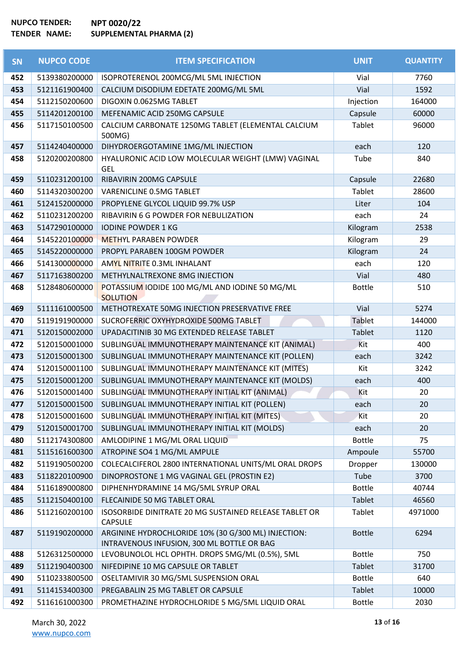| <b>SN</b> | <b>NUPCO CODE</b> | <b>ITEM SPECIFICATION</b>                                                                         | <b>UNIT</b>   | <b>QUANTITY</b> |
|-----------|-------------------|---------------------------------------------------------------------------------------------------|---------------|-----------------|
| 452       | 5139380200000     | ISOPROTERENOL 200MCG/ML 5ML INJECTION                                                             | Vial          | 7760            |
| 453       | 5121161900400     | CALCIUM DISODIUM EDETATE 200MG/ML 5ML                                                             | Vial          | 1592            |
| 454       | 5112150200600     | DIGOXIN 0.0625MG TABLET                                                                           | Injection     | 164000          |
| 455       | 5114201200100     | MEFENAMIC ACID 250MG CAPSULE                                                                      | Capsule       | 60000           |
| 456       | 5117150100500     | CALCIUM CARBONATE 1250MG TABLET (ELEMENTAL CALCIUM<br>500MG)                                      | Tablet        | 96000           |
| 457       | 5114240400000     | DIHYDROERGOTAMINE 1MG/ML INJECTION                                                                | each          | 120             |
| 458       | 5120200200800     | HYALURONIC ACID LOW MOLECULAR WEIGHT (LMW) VAGINAL<br><b>GEL</b>                                  | Tube          | 840             |
| 459       | 5110231200100     | RIBAVIRIN 200MG CAPSULE                                                                           | Capsule       | 22680           |
| 460       | 5114320300200     | VARENICLINE 0.5MG TABLET                                                                          | Tablet        | 28600           |
| 461       | 5124152000000     | PROPYLENE GLYCOL LIQUID 99.7% USP                                                                 | Liter         | 104             |
| 462       | 5110231200200     | RIBAVIRIN 6 G POWDER FOR NEBULIZATION                                                             | each          | 24              |
| 463       | 5147290100000     | <b>IODINE POWDER 1 KG</b>                                                                         | Kilogram      | 2538            |
| 464       | 5145220100000     | <b>METHYL PARABEN POWDER</b>                                                                      | Kilogram      | 29              |
| 465       | 5145220000000     | PROPYL PARABEN 100GM POWDER                                                                       | Kilogram      | 24              |
| 466       | 5141300000000     | AMYL NITRITE 0.3ML INHALANT                                                                       | each          | 120             |
| 467       | 5117163800200     | METHYLNALTREXONE 8MG INJECTION                                                                    | Vial          | 480             |
| 468       | 5128480600000     | POTASSIUM IODIDE 100 MG/ML AND IODINE 50 MG/ML<br><b>SOLUTION</b>                                 | <b>Bottle</b> | 510             |
| 469       | 5111161000500     | METHOTREXATE 50MG INJECTION PRESERVATIVE FREE                                                     | Vial          | 5274            |
| 470       | 5119191900000     | SUCROFERRIC OXYHYDROXIDE 500MG TABLET                                                             | Tablet        | 144000          |
| 471       | 5120150002000     | UPADACITINIB 30 MG EXTENDED RELEASE TABLET                                                        | Tablet        | 1120            |
| 472       | 5120150001000     | SUBLINGUAL IMMUNOTHERAPY MAINTENANCE KIT (ANIMAL)                                                 | Kit           | 400             |
| 473       | 5120150001300     | SUBLINGUAL IMMUNOTHERAPY MAINTENANCE KIT (POLLEN)                                                 | each          | 3242            |
| 474       | 5120150001100     | SUBLINGUAL IMMUNOTHERAPY MAINTENANCE KIT (MITES)                                                  | Kit           | 3242            |
| 475       | 5120150001200     | SUBLINGUAL IMMUNOTHERAPY MAINTENANCE KIT (MOLDS)                                                  | each          | 400             |
| 476       | 5120150001400     | SUBLINGUAL IMMUNOTHERAPY INITIAL KIT (ANIMAL)                                                     | Kit           | 20              |
| 477       | 5120150001500     | SUBLINGUAL IMMUNOTHERAPY INITIAL KIT (POLLEN)                                                     | each          | 20              |
| 478       | 5120150001600     | SUBLINGUAL IMMUNOTHERAPY INITIAL KIT (MITES)                                                      | Kit           | 20              |
| 479       | 5120150001700     | SUBLINGUAL IMMUNOTHERAPY INITIAL KIT (MOLDS)                                                      | each          | 20              |
| 480       | 5112174300800     | AMLODIPINE 1 MG/ML ORAL LIQUID                                                                    | <b>Bottle</b> | 75              |
| 481       | 5115161600300     | ATROPINE SO4 1 MG/ML AMPULE                                                                       | Ampoule       | 55700           |
| 482       | 5119190500200     | COLECALCIFEROL 2800 INTERNATIONAL UNITS/ML ORAL DROPS                                             | Dropper       | 130000          |
| 483       | 5118220100900     | DINOPROSTONE 1 MG VAGINAL GEL (PROSTIN E2)                                                        | Tube          | 3700            |
| 484       | 5116189000800     | DIPHENHYDRAMINE 14 MG/5ML SYRUP ORAL                                                              | <b>Bottle</b> | 40744           |
| 485       | 5112150400100     | FLECAINIDE 50 MG TABLET ORAL                                                                      | Tablet        | 46560           |
| 486       | 5112160200100     | ISOSORBIDE DINITRATE 20 MG SUSTAINED RELEASE TABLET OR<br><b>CAPSULE</b>                          | Tablet        | 4971000         |
| 487       | 5119190200000     | ARGININE HYDROCHLORIDE 10% (30 G/300 ML) INJECTION:<br>INTRAVENOUS INFUSION, 300 ML BOTTLE OR BAG | <b>Bottle</b> | 6294            |
| 488       | 5126312500000     | LEVOBUNOLOL HCL OPHTH. DROPS 5MG/ML (0.5%), 5ML                                                   | <b>Bottle</b> | 750             |
| 489       | 5112190400300     | NIFEDIPINE 10 MG CAPSULE OR TABLET                                                                | Tablet        | 31700           |
| 490       | 5110233800500     | OSELTAMIVIR 30 MG/5ML SUSPENSION ORAL                                                             | <b>Bottle</b> | 640             |
| 491       | 5114153400300     | PREGABALIN 25 MG TABLET OR CAPSULE                                                                | Tablet        | 10000           |
| 492       | 5116161000300     | PROMETHAZINE HYDROCHLORIDE 5 MG/5ML LIQUID ORAL                                                   | <b>Bottle</b> | 2030            |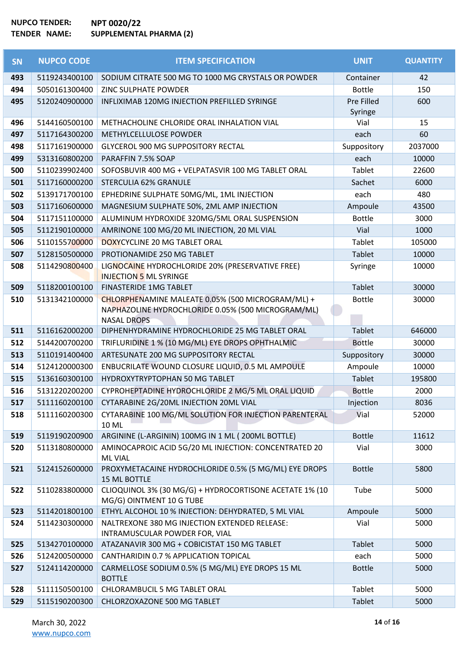| <b>SN</b> | <b>NUPCO CODE</b> | <b>ITEM SPECIFICATION</b>                                                                                                     | <b>UNIT</b>           | <b>QUANTITY</b> |
|-----------|-------------------|-------------------------------------------------------------------------------------------------------------------------------|-----------------------|-----------------|
| 493       | 5119243400100     | SODIUM CITRATE 500 MG TO 1000 MG CRYSTALS OR POWDER                                                                           | Container             | 42              |
| 494       | 5050161300400     | ZINC SULPHATE POWDER                                                                                                          | <b>Bottle</b>         | 150             |
| 495       | 5120240900000     | INFLIXIMAB 120MG INJECTION PREFILLED SYRINGE                                                                                  | Pre Filled<br>Syringe | 600             |
| 496       | 5144160500100     | METHACHOLINE CHLORIDE ORAL INHALATION VIAL                                                                                    | Vial                  | 15              |
| 497       | 5117164300200     | METHYLCELLULOSE POWDER                                                                                                        | each                  | 60              |
| 498       | 5117161900000     | <b>GLYCEROL 900 MG SUPPOSITORY RECTAL</b>                                                                                     | Suppository           | 2037000         |
| 499       | 5313160800200     | PARAFFIN 7.5% SOAP                                                                                                            | each                  | 10000           |
| 500       | 5110239902400     | SOFOSBUVIR 400 MG + VELPATASVIR 100 MG TABLET ORAL                                                                            | Tablet                | 22600           |
| 501       | 5117160000200     | STERCULIA 62% GRANULE                                                                                                         | Sachet                | 6000            |
| 502       | 5139171700100     | EPHEDRINE SULPHATE 50MG/ML, 1ML INJECTION                                                                                     | each                  | 480             |
| 503       | 5117160600000     | MAGNESIUM SULPHATE 50%, 2ML AMP INJECTION                                                                                     | Ampoule               | 43500           |
| 504       | 5117151100000     | ALUMINUM HYDROXIDE 320MG/5ML ORAL SUSPENSION                                                                                  | <b>Bottle</b>         | 3000            |
| 505       | 5112190100000     | AMRINONE 100 MG/20 ML INJECTION, 20 ML VIAL                                                                                   | Vial                  | 1000            |
| 506       | 5110155700000     | DOXYCYCLINE 20 MG TABLET ORAL                                                                                                 | Tablet                | 105000          |
| 507       | 5128150500000     | PROTIONAMIDE 250 MG TABLET                                                                                                    | Tablet                | 10000           |
| 508       | 5114290800400     | LIGNOCAINE HYDROCHLORIDE 20% (PRESERVATIVE FREE)<br><b>INJECTION 5 ML SYRINGE</b>                                             | Syringe               | 10000           |
| 509       | 5118200100100     | <b>FINASTERIDE 1MG TABLET</b>                                                                                                 | <b>Tablet</b>         | 30000           |
| 510       | 5131342100000     | CHLORPHENAMINE MALEATE 0.05% (500 MICROGRAM/ML) +<br>NAPHAZOLINE HYDROCHLORIDE 0.05% (500 MICROGRAM/ML)<br><b>NASAL DROPS</b> | <b>Bottle</b>         | 30000           |
| 511       | 5116162000200     | DIPHENHYDRAMINE HYDROCHLORIDE 25 MG TABLET ORAL                                                                               | <b>Tablet</b>         | 646000          |
| 512       | 5144200700200     | TRIFLURIDINE 1 % (10 MG/ML) EYE DROPS OPHTHALMIC                                                                              | <b>Bottle</b>         | 30000           |
| 513       | 5110191400400     | ARTESUNATE 200 MG SUPPOSITORY RECTAL                                                                                          | Suppository           | 30000           |
| 514       | 5124120000300     | ENBUCRILATE WOUND CLOSURE LIQUID, 0.5 ML AMPOULE                                                                              | Ampoule               | 10000           |
| 515       | 5136160300100     | HYDROXYTRYPTOPHAN 50 MG TABLET                                                                                                | <b>Tablet</b>         | 195800          |
| 516       | 5131220200200     | CYPROHEPTADINE HYDROCHLORIDE 2 MG/5 ML ORAL LIQUID                                                                            | <b>Bottle</b>         | 2000            |
| 517       | 5111160200100     | CYTARABINE 2G/20ML INJECTION 20ML VIAL                                                                                        | Injection             | 8036            |
| 518       | 5111160200300     | CYTARABINE 100 MG/ML SOLUTION FOR INJECTION PARENTERAL<br>10 ML                                                               | Vial                  | 52000           |
| 519       | 5119190200900     | ARGININE (L-ARGININ) 100MG IN 1 ML (200ML BOTTLE)                                                                             | <b>Bottle</b>         | 11612           |
| 520       | 5113180800000     | AMINOCAPROIC ACID 5G/20 ML INJECTION: CONCENTRATED 20<br><b>ML VIAL</b>                                                       | Vial                  | 3000            |
| 521       | 5124152600000     | PROXYMETACAINE HYDROCHLORIDE 0.5% (5 MG/ML) EYE DROPS<br><b>15 ML BOTTLE</b>                                                  | <b>Bottle</b>         | 5800            |
| 522       | 5110283800000     | CLIOQUINOL 3% (30 MG/G) + HYDROCORTISONE ACETATE 1% (10<br>MG/G) OINTMENT 10 G TUBE                                           | Tube                  | 5000            |
| 523       | 5114201800100     | ETHYL ALCOHOL 10 % INJECTION: DEHYDRATED, 5 ML VIAL                                                                           | Ampoule               | 5000            |
| 524       | 5114230300000     | NALTREXONE 380 MG INJECTION EXTENDED RELEASE:<br>INTRAMUSCULAR POWDER FOR, VIAL                                               | Vial                  | 5000            |
| 525       | 5134270100000     | ATAZANAVIR 300 MG + COBICISTAT 150 MG TABLET                                                                                  | Tablet                | 5000            |
| 526       | 5124200500000     | CANTHARIDIN 0.7 % APPLICATION TOPICAL                                                                                         | each                  | 5000            |
| 527       | 5124114200000     | CARMELLOSE SODIUM 0.5% (5 MG/ML) EYE DROPS 15 ML<br><b>BOTTLE</b>                                                             | <b>Bottle</b>         | 5000            |
| 528       | 5111150500100     | CHLORAMBUCIL 5 MG TABLET ORAL                                                                                                 | Tablet                | 5000            |
| 529       | 5115190200300     | CHLORZOXAZONE 500 MG TABLET                                                                                                   | Tablet                | 5000            |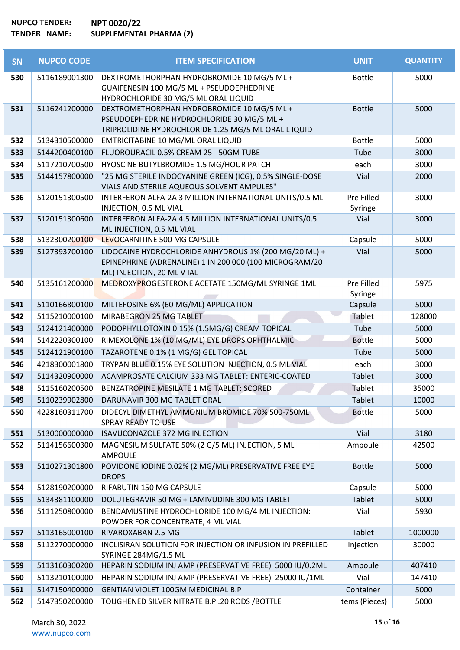| <b>SN</b> | <b>NUPCO CODE</b> | <b>ITEM SPECIFICATION</b>                                                                                                                        | <b>UNIT</b>           | <b>QUANTITY</b> |
|-----------|-------------------|--------------------------------------------------------------------------------------------------------------------------------------------------|-----------------------|-----------------|
| 530       | 5116189001300     | DEXTROMETHORPHAN HYDROBROMIDE 10 MG/5 ML +<br>GUAIFENESIN 100 MG/5 ML + PSEUDOEPHEDRINE<br>HYDROCHLORIDE 30 MG/5 ML ORAL LIQUID                  | <b>Bottle</b>         | 5000            |
| 531       | 5116241200000     | DEXTROMETHORPHAN HYDROBROMIDE 10 MG/5 ML +<br>PSEUDOEPHEDRINE HYDROCHLORIDE 30 MG/5 ML +<br>TRIPROLIDINE HYDROCHLORIDE 1.25 MG/5 ML ORAL L IQUID | <b>Bottle</b>         | 5000            |
| 532       | 5134310500000     | EMTRICITABINE 10 MG/ML ORAL LIQUID                                                                                                               | <b>Bottle</b>         | 5000            |
| 533       | 5144200400100     | FLUOROURACIL 0.5% CREAM 25 - 50GM TUBE                                                                                                           | Tube                  | 3000            |
| 534       | 5117210700500     | HYOSCINE BUTYLBROMIDE 1.5 MG/HOUR PATCH                                                                                                          | each                  | 3000            |
| 535       | 5144157800000     | "25 MG STERILE INDOCYANINE GREEN (ICG), 0.5% SINGLE-DOSE<br>VIALS AND STERILE AQUEOUS SOLVENT AMPULES"                                           | Vial                  | 2000            |
| 536       | 5120151300500     | INTERFERON ALFA-2A 3 MILLION INTERNATIONAL UNITS/0.5 ML<br>INJECTION, 0.5 ML VIAL                                                                | Pre Filled<br>Syringe | 3000            |
| 537       | 5120151300600     | INTERFERON ALFA-2A 4.5 MILLION INTERNATIONAL UNITS/0.5<br>ML INJECTION, 0.5 ML VIAL                                                              | Vial                  | 3000            |
| 538       | 5132300200100     | LEVOCARNITINE 500 MG CAPSULE                                                                                                                     | Capsule               | 5000            |
| 539       | 5127393700100     | LIDOCAINE HYDROCHLORIDE ANHYDROUS 1% (200 MG/20 ML) +<br>EPINEPHRINE (ADRENALINE) 1 IN 200 000 (100 MICROGRAM/20<br>ML) INJECTION, 20 ML V IAL   | Vial                  | 5000            |
| 540       | 5135161200000     | MEDROXYPROGESTERONE ACETATE 150MG/ML SYRINGE 1ML                                                                                                 | Pre Filled<br>Syringe | 5975            |
| 541       | 5110166800100     | MILTEFOSINE 6% (60 MG/ML) APPLICATION                                                                                                            | Capsule               | 5000            |
| 542       | 5115210000100     | MIRABEGRON 25 MG TABLET                                                                                                                          | Tablet                | 128000          |
| 543       | 5124121400000     | PODOPHYLLOTOXIN 0.15% (1.5MG/G) CREAM TOPICAL                                                                                                    | Tube                  | 5000            |
| 544       | 5142220300100     | RIMEXOLONE 1% (10 MG/ML) EYE DROPS OPHTHALMIC                                                                                                    | <b>Bottle</b>         | 5000            |
| 545       | 5124121900100     | TAZAROTENE 0.1% (1 MG/G) GEL TOPICAL                                                                                                             | Tube                  | 5000            |
| 546       | 4218300001800     | TRYPAN BLUE 0.15% EYE SOLUTION INJECTION, 0.5 ML VIAL                                                                                            | each                  | 3000            |
| 547       | 5114320900000     | ACAMPROSATE CALCIUM 333 MG TABLET: ENTERIC-COATED                                                                                                | Tablet                | 3000            |
| 548       | 5115160200500     | BENZATROPINE MESILATE 1 MG TABLET: SCORED                                                                                                        | Tablet                | 35000           |
| 549       | 5110239902800     | DARUNAVIR 300 MG TABLET ORAL                                                                                                                     | Tablet                | 10000           |
| 550       | 4228160311700     | DIDECYL DIMETHYL AMMONIUM BROMIDE 70% 500-750ML<br><b>SPRAY READY TO USE</b>                                                                     | <b>Bottle</b>         | 5000            |
| 551       | 5130000000000     | ISAVUCONAZOLE 372 MG INJECTION                                                                                                                   | Vial                  | 3180            |
| 552       | 5114156600300     | MAGNESIUM SULFATE 50% (2 G/5 ML) INJECTION, 5 ML<br><b>AMPOULE</b>                                                                               | Ampoule               | 42500           |
| 553       | 5110271301800     | POVIDONE IODINE 0.02% (2 MG/ML) PRESERVATIVE FREE EYE<br><b>DROPS</b>                                                                            | <b>Bottle</b>         | 5000            |
| 554       | 5128190200000     | RIFABUTIN 150 MG CAPSULE                                                                                                                         | Capsule               | 5000            |
| 555       | 5134381100000     | DOLUTEGRAVIR 50 MG + LAMIVUDINE 300 MG TABLET                                                                                                    | Tablet                | 5000            |
| 556       | 5111250800000     | BENDAMUSTINE HYDROCHLORIDE 100 MG/4 ML INJECTION:<br>POWDER FOR CONCENTRATE, 4 ML VIAL                                                           | Vial                  | 5930            |
| 557       | 5113165000100     | RIVAROXABAN 2.5 MG                                                                                                                               | Tablet                | 1000000         |
| 558       | 5112270000000     | INCLISIRAN SOLUTION FOR INJECTION OR INFUSION IN PREFILLED<br>SYRINGE 284MG/1.5 ML                                                               | Injection             | 30000           |
| 559       | 5113160300200     | HEPARIN SODIUM INJ AMP (PRESERVATIVE FREE) 5000 IU/0.2ML                                                                                         | Ampoule               | 407410          |
| 560       | 5113210100000     | HEPARIN SODIUM INJ AMP (PRESERVATIVE FREE) 25000 IU/1ML                                                                                          | Vial                  | 147410          |
| 561       | 5147150400000     | GENTIAN VIOLET 100GM MEDICINAL B.P                                                                                                               | Container             | 5000            |
| 562       | 5147350200000     | TOUGHENED SILVER NITRATE B.P. 20 RODS / BOTTLE                                                                                                   | items (Pieces)        | 5000            |